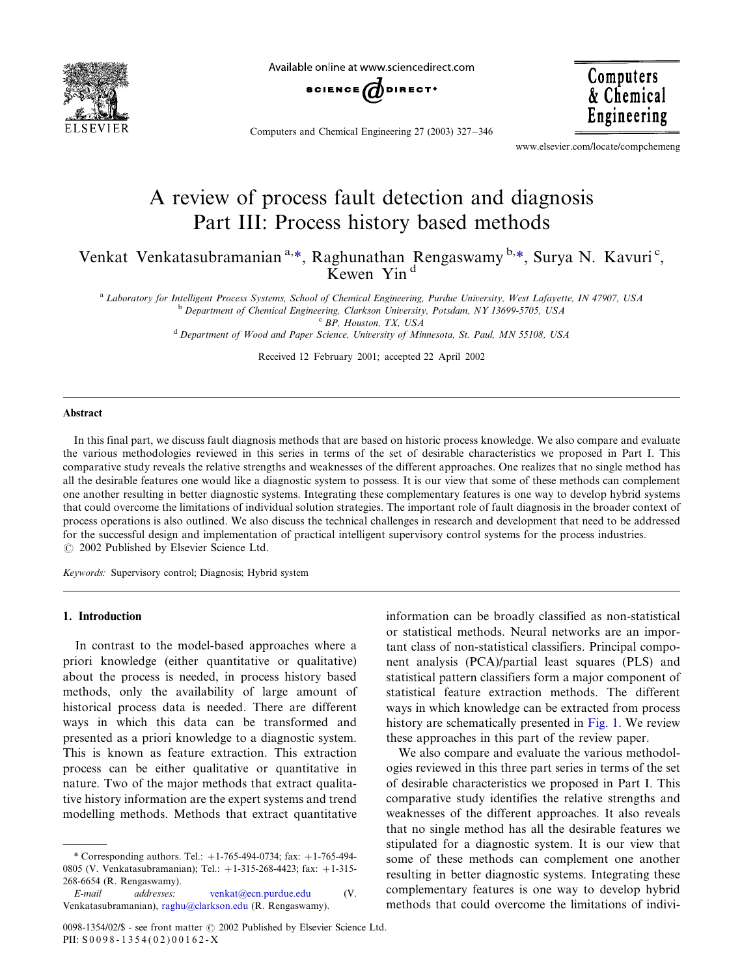

Available online at www.sciencedirect.com



Computers and Chemical Engineering 27 (2003) 327-346

**Computers** & Chemical Engineering

www.elsevier.com/locate/compchemeng

# A review of process fault detection and diagnosis Part III: Process history based methods

Venkat Venkatasubramanian<sup>a,\*</sup>, Raghunathan Rengaswamy<sup>b,\*</sup>, Surya N. Kavuri<sup>c</sup>, Kewen Yin <sup>d</sup>

<sup>a</sup> Laboratory for Intelligent Process Systems, School of Chemical Engineering, Purdue University, West Lafayette, IN 47907, USA<br><sup>b</sup> Department of Chemical Engineering, Clarkson University, Potsdam, NY 13699-5705, USA<br><sup>6</sup>

<sup>d</sup> Department of Wood and Paper Science, University of Minnesota, St. Paul, MN 55108, USA

Received 12 February 2001; accepted 22 April 2002

#### Abstract

In this final part, we discuss fault diagnosis methods that are based on historic process knowledge. We also compare and evaluate the various methodologies reviewed in this series in terms of the set of desirable characteristics we proposed in Part I. This comparative study reveals the relative strengths and weaknesses of the different approaches. One realizes that no single method has all the desirable features one would like a diagnostic system to possess. It is our view that some of these methods can complement one another resulting in better diagnostic systems. Integrating these complementary features is one way to develop hybrid systems that could overcome the limitations of individual solution strategies. The important role of fault diagnosis in the broader context of process operations is also outlined. We also discuss the technical challenges in research and development that need to be addressed for the successful design and implementation of practical intelligent supervisory control systems for the process industries.  $\odot$  2002 Published by Elsevier Science Ltd.

Keywords: Supervisory control; Diagnosis; Hybrid system

### 1. Introduction

In contrast to the model-based approaches where a priori knowledge (either quantitative or qualitative) about the process is needed, in process history based methods, only the availability of large amount of historical process data is needed. There are different ways in which this data can be transformed and presented as a priori knowledge to a diagnostic system. This is known as feature extraction. This extraction process can be either qualitative or quantitative in nature. Two of the major methods that extract qualitative history information are the expert systems and trend modelling methods. Methods that extract quantitative

information can be broadly classified as non-statistical or statistical methods. Neural networks are an important class of non-statistical classifiers. Principal component analysis (PCA)/partial least squares (PLS) and statistical pattern classifiers form a major component of statistical feature extraction methods. The different ways in which knowledge can be extracted from process history are schematically presented in Fig. 1. We review these approaches in this part of the review paper.

We also compare and evaluate the various methodologies reviewed in this three part series in terms of the set of desirable characteristics we proposed in Part I. This comparative study identifies the relative strengths and weaknesses of the different approaches. It also reveals that no single method has all the desirable features we stipulated for a diagnostic system. It is our view that some of these methods can complement one another resulting in better diagnostic systems. Integrating these complementary features is one way to develop hybrid methods that could overcome the limitations of indivi-

<sup>\*</sup> Corresponding authors. Tel.:  $+1-765-494-0734$ ; fax:  $+1-765-494-$ 0805 (V. Venkatasubramanian); Tel.: +1-315-268-4423; fax: +1-315-268-6654 (R. Rengaswamy).

E-mail addresses: venkat@ecn.purdue.edu (V. Venkatasubramanian), raghu@clarkson.edu (R. Rengaswamy).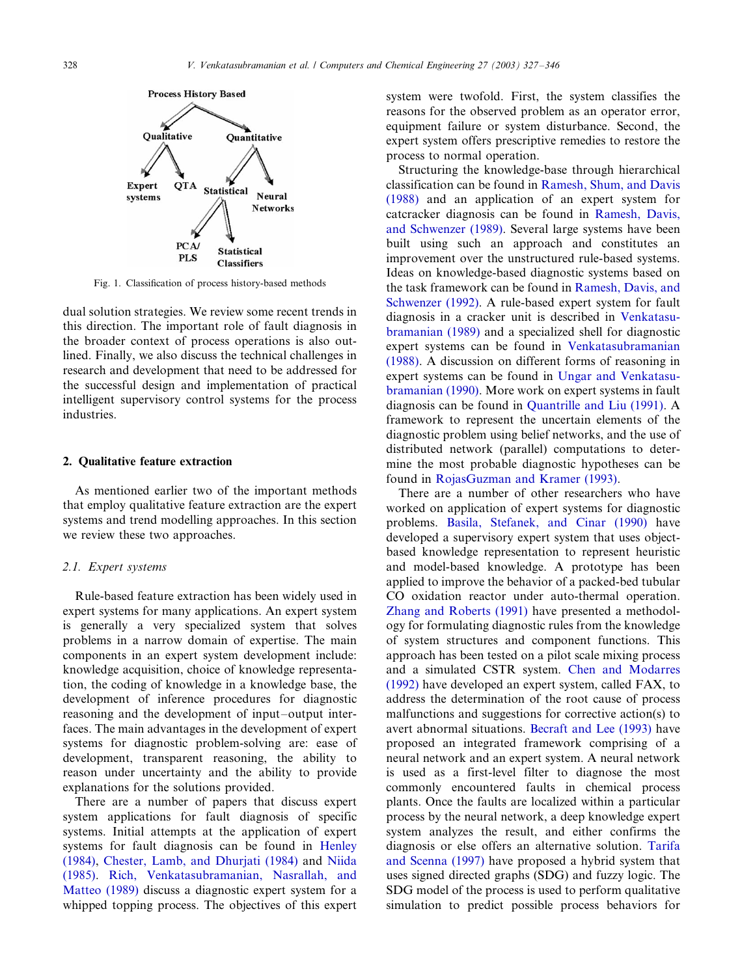

Fig. 1. Classification of process history-based methods

dual solution strategies. We review some recent trends in this direction. The important role of fault diagnosis in the broader context of process operations is also outlined. Finally, we also discuss the technical challenges in research and development that need to be addressed for the successful design and implementation of practical intelligent supervisory control systems for the process industries.

#### 2. Qualitative feature extraction

As mentioned earlier two of the important methods that employ qualitative feature extraction are the expert systems and trend modelling approaches. In this section we review these two approaches.

#### 2.1. Expert systems

Rule-based feature extraction has been widely used in expert systems for many applications. An expert system is generally a very specialized system that solves problems in a narrow domain of expertise. The main components in an expert system development include: knowledge acquisition, choice of knowledge representation, the coding of knowledge in a knowledge base, the development of inference procedures for diagnostic reasoning and the development of input-output interfaces. The main advantages in the development of expert systems for diagnostic problem-solving are: ease of development, transparent reasoning, the ability to reason under uncertainty and the ability to provide explanations for the solutions provided.

There are a number of papers that discuss expert system applications for fault diagnosis of specific systems. Initial attempts at the application of expert systems for fault diagnosis can be found in Henley (1984), Chester, Lamb, and Dhurjati (1984) and Niida (1985). Rich, Venkatasubramanian, Nasrallah, and Matteo (1989) discuss a diagnostic expert system for a whipped topping process. The objectives of this expert system were twofold. First, the system classifies the reasons for the observed problem as an operator error, equipment failure or system disturbance. Second, the expert system offers prescriptive remedies to restore the process to normal operation.

Structuring the knowledge-base through hierarchical classification can be found in Ramesh, Shum, and Davis (1988) and an application of an expert system for catcracker diagnosis can be found in Ramesh, Davis, and Schwenzer (1989). Several large systems have been built using such an approach and constitutes an improvement over the unstructured rule-based systems. Ideas on knowledge-based diagnostic systems based on the task framework can be found in Ramesh, Davis, and Schwenzer (1992). A rule-based expert system for fault diagnosis in a cracker unit is described in Venkatasubramanian (1989) and a specialized shell for diagnostic expert systems can be found in Venkatasubramanian (1988). A discussion on different forms of reasoning in expert systems can be found in Ungar and Venkatasubramanian (1990). More work on expert systems in fault diagnosis can be found in Quantrille and Liu (1991). A framework to represent the uncertain elements of the diagnostic problem using belief networks, and the use of distributed network (parallel) computations to determine the most probable diagnostic hypotheses can be found in RojasGuzman and Kramer (1993).

There are a number of other researchers who have worked on application of expert systems for diagnostic problems. Basila, Stefanek, and Cinar (1990) have developed a supervisory expert system that uses objectbased knowledge representation to represent heuristic and model-based knowledge. A prototype has been applied to improve the behavior of a packed-bed tubular CO oxidation reactor under auto-thermal operation. Zhang and Roberts (1991) have presented a methodology for formulating diagnostic rules from the knowledge of system structures and component functions. This approach has been tested on a pilot scale mixing process and a simulated CSTR system. Chen and Modarres (1992) have developed an expert system, called FAX, to address the determination of the root cause of process malfunctions and suggestions for corrective action(s) to avert abnormal situations. Becraft and Lee (1993) have proposed an integrated framework comprising of a neural network and an expert system. A neural network is used as a first-level filter to diagnose the most commonly encountered faults in chemical process plants. Once the faults are localized within a particular process by the neural network, a deep knowledge expert system analyzes the result, and either confirms the diagnosis or else offers an alternative solution. Tarifa and Scenna (1997) have proposed a hybrid system that uses signed directed graphs (SDG) and fuzzy logic. The SDG model of the process is used to perform qualitative simulation to predict possible process behaviors for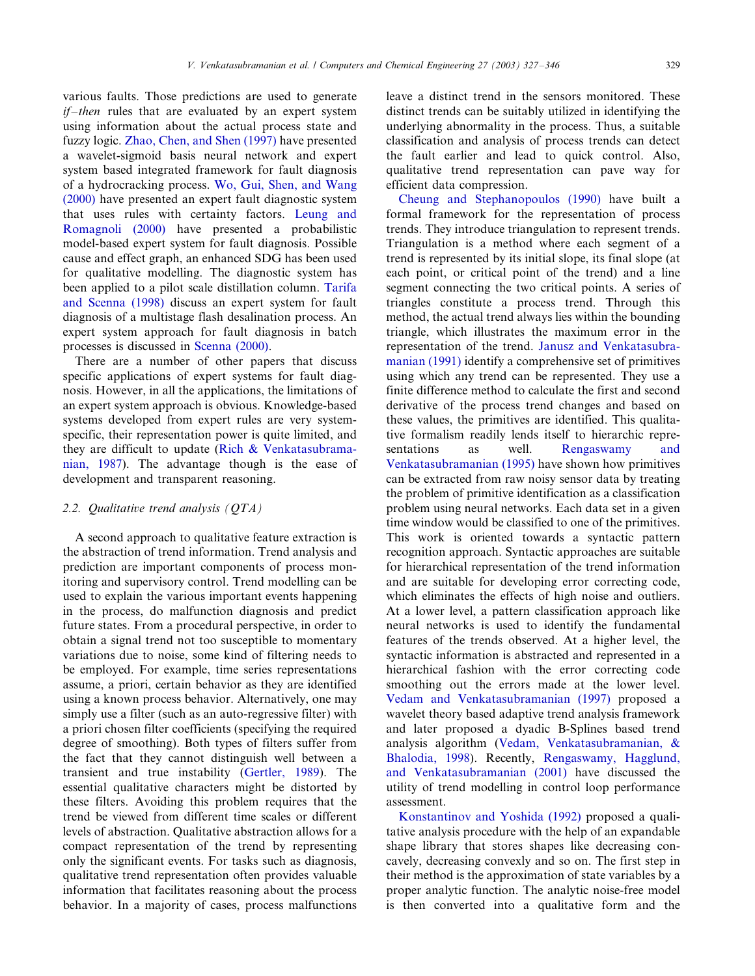various faults. Those predictions are used to generate if-then rules that are evaluated by an expert system using information about the actual process state and fuzzy logic. Zhao, Chen, and Shen (1997) have presented a wavelet-sigmoid basis neural network and expert system based integrated framework for fault diagnosis of a hydrocracking process. Wo, Gui, Shen, and Wang (2000) have presented an expert fault diagnostic system that uses rules with certainty factors. Leung and Romagnoli (2000) have presented a probabilistic model-based expert system for fault diagnosis. Possible cause and effect graph, an enhanced SDG has been used for qualitative modelling. The diagnostic system has been applied to a pilot scale distillation column. Tarifa and Scenna (1998) discuss an expert system for fault diagnosis of a multistage flash desalination process. An expert system approach for fault diagnosis in batch processes is discussed in Scenna (2000).

There are a number of other papers that discuss specific applications of expert systems for fault diagnosis. However, in all the applications, the limitations of an expert system approach is obvious. Knowledge-based systems developed from expert rules are very systemspecific, their representation power is quite limited, and they are difficult to update (Rich & Venkatasubramanian, 1987). The advantage though is the ease of development and transparent reasoning.

#### 2.2. Qualitative trend analysis  $(QTA)$

A second approach to qualitative feature extraction is the abstraction of trend information. Trend analysis and prediction are important components of process monitoring and supervisory control. Trend modelling can be used to explain the various important events happening in the process, do malfunction diagnosis and predict future states. From a procedural perspective, in order to obtain a signal trend not too susceptible to momentary variations due to noise, some kind of filtering needs to be employed. For example, time series representations assume, a priori, certain behavior as they are identified using a known process behavior. Alternatively, one may simply use a filter (such as an auto-regressive filter) with a priori chosen filter coefficients (specifying the required degree of smoothing). Both types of filters suffer from the fact that they cannot distinguish well between a transient and true instability (Gertler, 1989). The essential qualitative characters might be distorted by these filters. Avoiding this problem requires that the trend be viewed from different time scales or different levels of abstraction. Qualitative abstraction allows for a compact representation of the trend by representing only the significant events. For tasks such as diagnosis, qualitative trend representation often provides valuable information that facilitates reasoning about the process behavior. In a majority of cases, process malfunctions leave a distinct trend in the sensors monitored. These distinct trends can be suitably utilized in identifying the underlying abnormality in the process. Thus, a suitable classification and analysis of process trends can detect the fault earlier and lead to quick control. Also, qualitative trend representation can pave way for efficient data compression.

Cheung and Stephanopoulos (1990) have built a formal framework for the representation of process trends. They introduce triangulation to represent trends. Triangulation is a method where each segment of a trend is represented by its initial slope, its final slope (at each point, or critical point of the trend) and a line segment connecting the two critical points. A series of triangles constitute a process trend. Through this method, the actual trend always lies within the bounding triangle, which illustrates the maximum error in the representation of the trend. Janusz and Venkatasubramanian (1991) identify a comprehensive set of primitives using which any trend can be represented. They use a finite difference method to calculate the first and second derivative of the process trend changes and based on these values, the primitives are identified. This qualitative formalism readily lends itself to hierarchic representations as well. Rengaswamy and Venkatasubramanian (1995) have shown how primitives can be extracted from raw noisy sensor data by treating the problem of primitive identification as a classification problem using neural networks. Each data set in a given time window would be classified to one of the primitives. This work is oriented towards a syntactic pattern recognition approach. Syntactic approaches are suitable for hierarchical representation of the trend information and are suitable for developing error correcting code, which eliminates the effects of high noise and outliers. At a lower level, a pattern classification approach like neural networks is used to identify the fundamental features of the trends observed. At a higher level, the syntactic information is abstracted and represented in a hierarchical fashion with the error correcting code smoothing out the errors made at the lower level. Vedam and Venkatasubramanian (1997) proposed a wavelet theory based adaptive trend analysis framework and later proposed a dyadic B-Splines based trend analysis algorithm (Vedam, Venkatasubramanian, & Bhalodia, 1998). Recently, Rengaswamy, Hagglund, and Venkatasubramanian (2001) have discussed the utility of trend modelling in control loop performance assessment.

Konstantinov and Yoshida (1992) proposed a qualitative analysis procedure with the help of an expandable shape library that stores shapes like decreasing concavely, decreasing convexly and so on. The first step in their method is the approximation of state variables by a proper analytic function. The analytic noise-free model is then converted into a qualitative form and the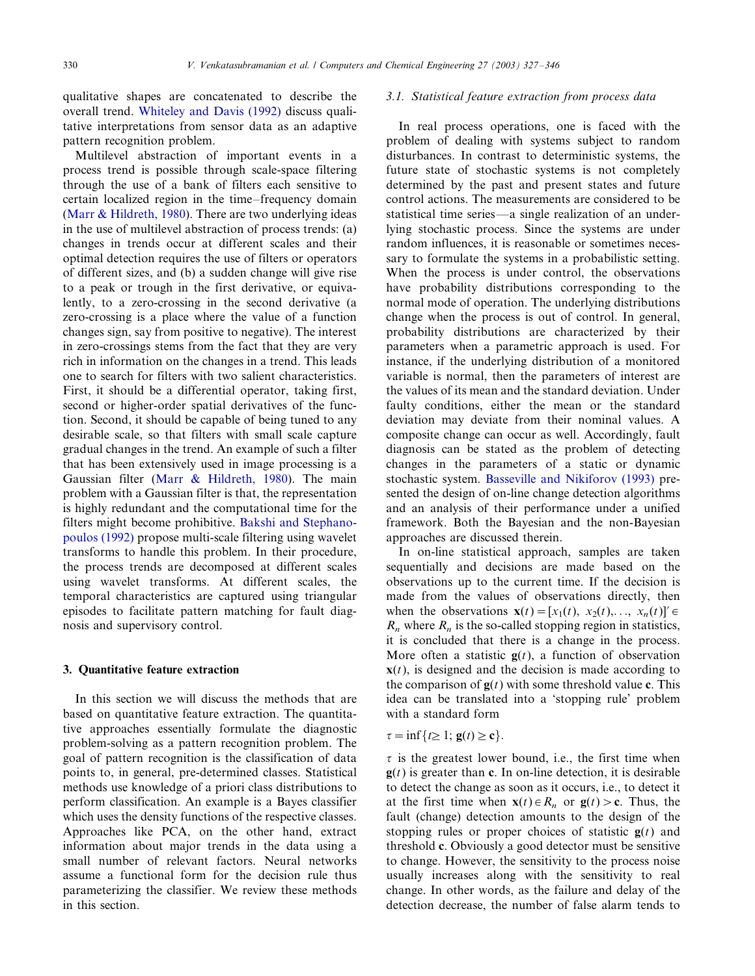qualitative shapes are concatenated to describe the overall trend. Whiteley and Davis (1992) discuss qualitative interpretations from sensor data as an adaptive pattern recognition problem.

Multilevel abstraction of important events in a process trend is possible through scale-space filtering through the use of a bank of filters each sensitive to certain localized region in the time-frequency domain (Marr & Hildreth, 1980). There are two underlying ideas in the use of multilevel abstraction of process trends: (a) changes in trends occur at different scales and their optimal detection requires the use of filters or operators of different sizes, and (b) a sudden change will give rise to a peak or trough in the first derivative, or equivalently, to a zero-crossing in the second derivative (a zero-crossing is a place where the value of a function changes sign, say from positive to negative). The interest in zero-crossings stems from the fact that they are very rich in information on the changes in a trend. This leads one to search for filters with two salient characteristics. First, it should be a differential operator, taking first, second or higher-order spatial derivatives of the function. Second, it should be capable of being tuned to any desirable scale, so that filters with small scale capture gradual changes in the trend. An example of such a filter that has been extensively used in image processing is a Gaussian filter (Marr & Hildreth, 1980). The main problem with a Gaussian filter is that, the representation is highly redundant and the computational time for the filters might become prohibitive. Bakshi and Stephanopoulos (1992) propose multi-scale filtering using wavelet transforms to handle this problem. In their procedure, the process trends are decomposed at different scales using wavelet transforms. At different scales, the temporal characteristics are captured using triangular episodes to facilitate pattern matching for fault diagnosis and supervisory control.

#### 3. Quantitative feature extraction

In this section we will discuss the methods that are based on quantitative feature extraction. The quantitative approaches essentially formulate the diagnostic problem-solving as a pattern recognition problem. The goal of pattern recognition is the classification of data points to, in general, pre-determined classes. Statistical methods use knowledge of a priori class distributions to perform classification. An example is a Bayes classifier which uses the density functions of the respective classes. Approaches like PCA, on the other hand, extract information about major trends in the data using a small number of relevant factors. Neural networks assume a functional form for the decision rule thus parameterizing the classifier. We review these methods in this section.

#### 3.1. Statistical feature extraction from process data

In real process operations, one is faced with the problem of dealing with systems subject to random disturbances. In contrast to deterministic systems, the future state of stochastic systems is not completely determined by the past and present states and future control actions. The measurements are considered to be statistical time series—a single realization of an underlying stochastic process. Since the systems are under random influences, it is reasonable or sometimes necessary to formulate the systems in a probabilistic setting. When the process is under control, the observations have probability distributions corresponding to the normal mode of operation. The underlying distributions change when the process is out of control. In general, probability distributions are characterized by their parameters when a parametric approach is used. For instance, if the underlying distribution of a monitored variable is normal, then the parameters of interest are the values of its mean and the standard deviation. Under faulty conditions, either the mean or the standard deviation may deviate from their nominal values. A composite change can occur as well. Accordingly, fault diagnosis can be stated as the problem of detecting changes in the parameters of a static or dynamic stochastic system. Basseville and Nikiforov (1993) presented the design of on-line change detection algorithms and an analysis of their performance under a unified framework. Both the Bayesian and the non-Bayesian approaches are discussed therein.

In on-line statistical approach, samples are taken sequentially and decisions are made based on the observations up to the current time. If the decision is made from the values of observations directly, then when the observations  $\mathbf{x}(t)=[x_1(t), x_2(t),..., x_n(t)]' \in$  $R_n$  where  $R_n$  is the so-called stopping region in statistics, it is concluded that there is a change in the process. More often a statistic  $g(t)$ , a function of observation  $x(t)$ , is designed and the decision is made according to the comparison of  $g(t)$  with some threshold value c. This idea can be translated into a 'stopping rule' problem with a standard form

 $\tau = \inf\{t \geq 1; \mathbf{g}(t) \geq \mathbf{c}\}.$ 

 $\tau$  is the greatest lower bound, i.e., the first time when  $g(t)$  is greater than c. In on-line detection, it is desirable to detect the change as soon as it occurs, i.e., to detect it at the first time when  $\mathbf{x}(t) \in R_n$  or  $\mathbf{g}(t) > \mathbf{c}$ . Thus, the fault (change) detection amounts to the design of the stopping rules or proper choices of statistic  $g(t)$  and threshold c. Obviously a good detector must be sensitive to change. However, the sensitivity to the process noise usually increases along with the sensitivity to real change. In other words, as the failure and delay of the detection decrease, the number of false alarm tends to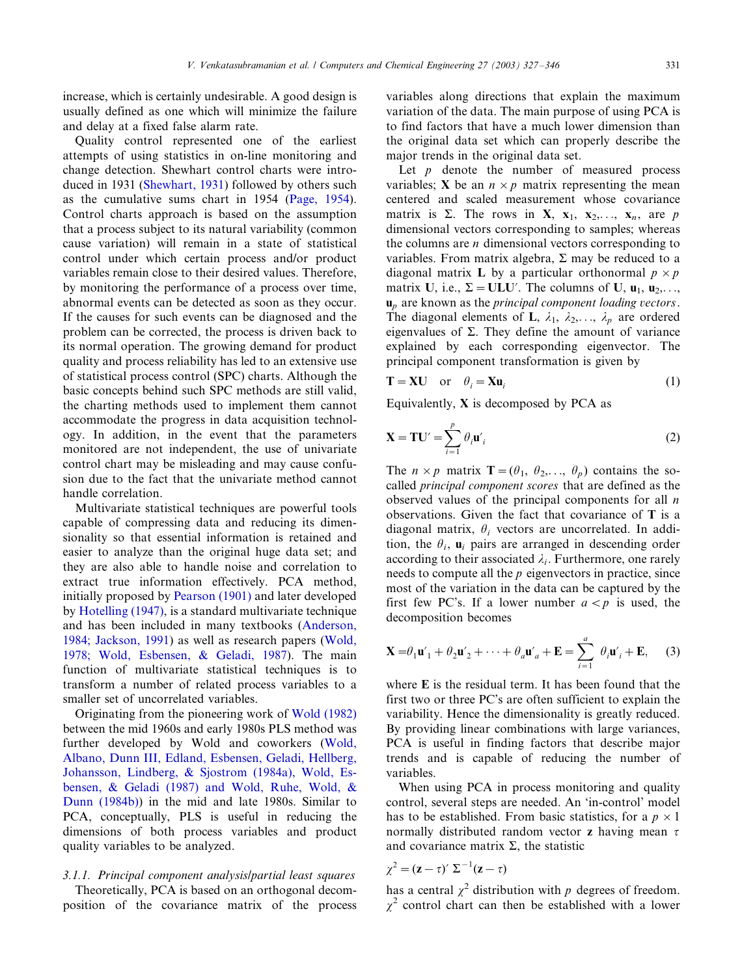increase, which is certainly undesirable. A good design is usually defined as one which will minimize the failure

and delay at a fixed false alarm rate. Quality control represented one of the earliest attempts of using statistics in on-line monitoring and change detection. Shewhart control charts were introduced in 1931 (Shewhart, 1931) followed by others such as the cumulative sums chart in 1954 (Page, 1954). Control charts approach is based on the assumption that a process subject to its natural variability (common cause variation) will remain in a state of statistical control under which certain process and/or product variables remain close to their desired values. Therefore, by monitoring the performance of a process over time, abnormal events can be detected as soon as they occur. If the causes for such events can be diagnosed and the problem can be corrected, the process is driven back to its normal operation. The growing demand for product quality and process reliability has led to an extensive use of statistical process control (SPC) charts. Although the basic concepts behind such SPC methods are still valid, the charting methods used to implement them cannot accommodate the progress in data acquisition technology. In addition, in the event that the parameters monitored are not independent, the use of univariate control chart may be misleading and may cause confusion due to the fact that the univariate method cannot handle correlation.

Multivariate statistical techniques are powerful tools capable of compressing data and reducing its dimensionality so that essential information is retained and easier to analyze than the original huge data set; and they are also able to handle noise and correlation to extract true information effectively. PCA method, initially proposed by Pearson (1901) and later developed by Hotelling (1947), is a standard multivariate technique and has been included in many textbooks (Anderson, 1984; Jackson, 1991) as well as research papers (Wold, 1978; Wold, Esbensen, & Geladi, 1987). The main function of multivariate statistical techniques is to transform a number of related process variables to a smaller set of uncorrelated variables.

Originating from the pioneering work of Wold (1982) between the mid 1960s and early 1980s PLS method was further developed by Wold and coworkers (Wold, Albano, Dunn III, Edland, Esbensen, Geladi, Hellberg, Johansson, Lindberg, & Sjostrom (1984a), Wold, Esbensen, & Geladi (1987) and Wold, Ruhe, Wold, & Dunn (1984b)) in the mid and late 1980s. Similar to PCA, conceptually, PLS is useful in reducing the dimensions of both process variables and product quality variables to be analyzed.

# 3.1.1. Principal component analysis/partial least squares Theoretically, PCA is based on an orthogonal decomposition of the covariance matrix of the process

variables along directions that explain the maximum variation of the data. The main purpose of using PCA is to find factors that have a much lower dimension than the original data set which can properly describe the major trends in the original data set.

Let  $p$  denote the number of measured process variables; X be an  $n \times p$  matrix representing the mean centered and scaled measurement whose covariance matrix is  $\Sigma$ . The rows in **X**,  $x_1$ ,  $x_2$ , ...,  $x_n$ , are p dimensional vectors corresponding to samples; whereas the columns are  $n$  dimensional vectors corresponding to variables. From matrix algebra,  $\Sigma$  may be reduced to a diagonal matrix **L** by a particular orthonormal  $p \times p$ matrix U, i.e.,  $\Sigma = ULU'$ . The columns of U,  $u_1, u_2,...,$  $\mathbf{u}_n$  are known as the *principal component loading vectors*. The diagonal elements of L,  $\lambda_1$ ,  $\lambda_2$ , ...,  $\lambda_p$  are ordered eigenvalues of  $\Sigma$ . They define the amount of variance explained by each corresponding eigenvector. The principal component transformation is given by

$$
\mathbf{T} = \mathbf{X}\mathbf{U} \quad \text{or} \quad \theta_i = \mathbf{X}\mathbf{u}_i \tag{1}
$$

Equivalently, X is decomposed by PCA as

$$
\mathbf{X} = \mathbf{T}\mathbf{U}' = \sum_{i=1}^{p} \theta_i \mathbf{u}'_i \tag{2}
$$

The  $n \times p$  matrix  $\mathbf{T} = (\theta_1, \theta_2, \dots, \theta_p)$  contains the socalled principal component scores that are defined as the observed values of the principal components for all  $n$ observations. Given the fact that covariance of T is a diagonal matrix,  $\theta_i$  vectors are uncorrelated. In addition, the  $\theta_i$ ,  $\mathbf{u}_i$  pairs are arranged in descending order according to their associated  $\lambda_i$ . Furthermore, one rarely needs to compute all the  $p$  eigenvectors in practice, since most of the variation in the data can be captured by the first few PC's. If a lower number  $a < p$  is used, the decomposition becomes

$$
\mathbf{X} = \theta_1 \mathbf{u}'_1 + \theta_2 \mathbf{u}'_2 + \dots + \theta_a \mathbf{u}'_a + \mathbf{E} = \sum_{i=1}^a \theta_i \mathbf{u}'_i + \mathbf{E}, \quad (3)
$$

where E is the residual term. It has been found that the first two or three PC's are often sufficient to explain the variability. Hence the dimensionality is greatly reduced. By providing linear combinations with large variances, PCA is useful in finding factors that describe major trends and is capable of reducing the number of variables.

When using PCA in process monitoring and quality control, several steps are needed. An 'in-control' model has to be established. From basic statistics, for a  $p \times 1$ normally distributed random vector z having mean  $\tau$ and covariance matrix  $\Sigma$ , the statistic

# $\chi^2 = (\mathbf{z} - \tau)' \Sigma^{-1} (\mathbf{z} - \tau)$

has a central  $\chi^2$  distribution with p degrees of freedom.  $\chi^2$  control chart can then be established with a lower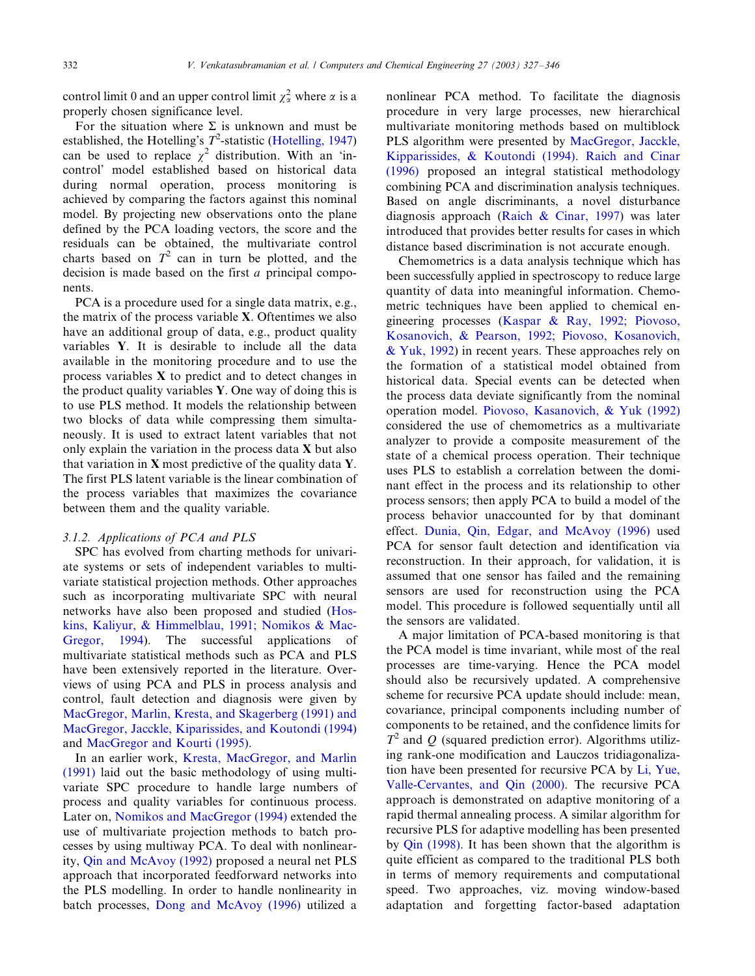control limit 0 and an upper control limit  $\chi^2_{\alpha}$  where  $\alpha$  is a properly chosen significance level.

For the situation where  $\Sigma$  is unknown and must be established, the Hotelling's  $T^2$ -statistic (Hotelling, 1947) can be used to replace  $\chi^2$  distribution. With an 'incontrol' model established based on historical data during normal operation, process monitoring is achieved by comparing the factors against this nominal model. By projecting new observations onto the plane defined by the PCA loading vectors, the score and the residuals can be obtained, the multivariate control charts based on  $T^2$  can in turn be plotted, and the decision is made based on the first a principal components.

PCA is a procedure used for a single data matrix, e.g., the matrix of the process variable  $X$ . Oftentimes we also have an additional group of data, e.g., product quality variables Y. It is desirable to include all the data available in the monitoring procedure and to use the process variables X to predict and to detect changes in the product quality variables  $Y$ . One way of doing this is to use PLS method. It models the relationship between two blocks of data while compressing them simultaneously. It is used to extract latent variables that not only explain the variation in the process data  $X$  but also that variation in **X** most predictive of the quality data **Y**. The first PLS latent variable is the linear combination of the process variables that maximizes the covariance between them and the quality variable.

#### 3.1.2. Applications of PCA and PLS

SPC has evolved from charting methods for univariate systems or sets of independent variables to multivariate statistical projection methods. Other approaches such as incorporating multivariate SPC with neural networks have also been proposed and studied (Hoskins, Kaliyur, & Himmelblau, 1991; Nomikos & Mac-Gregor, 1994). The successful applications of multivariate statistical methods such as PCA and PLS have been extensively reported in the literature. Overviews of using PCA and PLS in process analysis and control, fault detection and diagnosis were given by MacGregor, Marlin, Kresta, and Skagerberg (1991) and MacGregor, Jacckle, Kiparissides, and Koutondi (1994) and MacGregor and Kourti (1995).

In an earlier work, Kresta, MacGregor, and Marlin (1991) laid out the basic methodology of using multivariate SPC procedure to handle large numbers of process and quality variables for continuous process. Later on, Nomikos and MacGregor (1994) extended the use of multivariate projection methods to batch processes by using multiway PCA. To deal with nonlinearity, Qin and McAvoy (1992) proposed a neural net PLS approach that incorporated feedforward networks into the PLS modelling. In order to handle nonlinearity in batch processes, Dong and McAvoy (1996) utilized a

nonlinear PCA method. To facilitate the diagnosis procedure in very large processes, new hierarchical multivariate monitoring methods based on multiblock PLS algorithm were presented by MacGregor, Jacckle, Kipparissides, & Koutondi (1994). Raich and Cinar (1996) proposed an integral statistical methodology combining PCA and discrimination analysis techniques. Based on angle discriminants, a novel disturbance diagnosis approach (Raich & Cinar, 1997) was later introduced that provides better results for cases in which distance based discrimination is not accurate enough.

Chemometrics is a data analysis technique which has been successfully applied in spectroscopy to reduce large quantity of data into meaningful information. Chemometric techniques have been applied to chemical engineering processes (Kaspar & Ray, 1992; Piovoso, Kosanovich, & Pearson, 1992; Piovoso, Kosanovich, & Yuk, 1992) in recent years. These approaches rely on the formation of a statistical model obtained from historical data. Special events can be detected when the process data deviate significantly from the nominal operation model. Piovoso, Kasanovich, & Yuk (1992) considered the use of chemometrics as a multivariate analyzer to provide a composite measurement of the state of a chemical process operation. Their technique uses PLS to establish a correlation between the dominant effect in the process and its relationship to other process sensors; then apply PCA to build a model of the process behavior unaccounted for by that dominant effect. Dunia, Qin, Edgar, and McAvoy (1996) used PCA for sensor fault detection and identification via reconstruction. In their approach, for validation, it is assumed that one sensor has failed and the remaining sensors are used for reconstruction using the PCA model. This procedure is followed sequentially until all the sensors are validated.

A major limitation of PCA-based monitoring is that the PCA model is time invariant, while most of the real processes are time-varying. Hence the PCA model should also be recursively updated. A comprehensive scheme for recursive PCA update should include: mean, covariance, principal components including number of components to be retained, and the confidence limits for  $T^2$  and Q (squared prediction error). Algorithms utilizing rank-one modification and Lauczos tridiagonalization have been presented for recursive PCA by Li, Yue, Valle-Cervantes, and Qin (2000). The recursive PCA approach is demonstrated on adaptive monitoring of a rapid thermal annealing process. A similar algorithm for recursive PLS for adaptive modelling has been presented by Qin (1998). It has been shown that the algorithm is quite efficient as compared to the traditional PLS both in terms of memory requirements and computational speed. Two approaches, viz. moving window-based adaptation and forgetting factor-based adaptation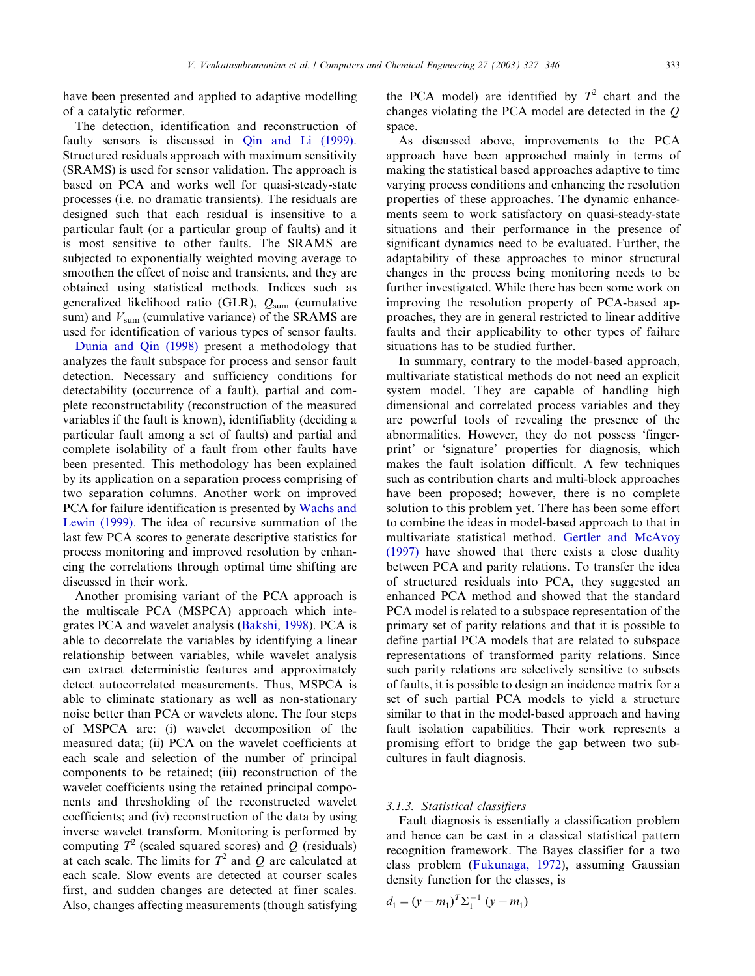have been presented and applied to adaptive modelling of a catalytic reformer.

The detection, identification and reconstruction of faulty sensors is discussed in Qin and Li (1999). Structured residuals approach with maximum sensitivity (SRAMS) is used for sensor validation. The approach is based on PCA and works well for quasi-steady-state processes (i.e. no dramatic transients). The residuals are designed such that each residual is insensitive to a particular fault (or a particular group of faults) and it is most sensitive to other faults. The SRAMS are subjected to exponentially weighted moving average to smoothen the effect of noise and transients, and they are obtained using statistical methods. Indices such as generalized likelihood ratio (GLR),  $Q_{\text{sum}}$  (cumulative sum) and  $V_{\text{sum}}$  (cumulative variance) of the SRAMS are used for identification of various types of sensor faults.

Dunia and Qin (1998) present a methodology that analyzes the fault subspace for process and sensor fault detection. Necessary and sufficiency conditions for detectability (occurrence of a fault), partial and complete reconstructability (reconstruction of the measured variables if the fault is known), identifiablity (deciding a particular fault among a set of faults) and partial and complete isolability of a fault from other faults have been presented. This methodology has been explained by its application on a separation process comprising of two separation columns. Another work on improved PCA for failure identification is presented by Wachs and Lewin (1999). The idea of recursive summation of the last few PCA scores to generate descriptive statistics for process monitoring and improved resolution by enhancing the correlations through optimal time shifting are discussed in their work.

Another promising variant of the PCA approach is the multiscale PCA (MSPCA) approach which integrates PCA and wavelet analysis (Bakshi, 1998). PCA is able to decorrelate the variables by identifying a linear relationship between variables, while wavelet analysis can extract deterministic features and approximately detect autocorrelated measurements. Thus, MSPCA is able to eliminate stationary as well as non-stationary noise better than PCA or wavelets alone. The four steps of MSPCA are: (i) wavelet decomposition of the measured data; (ii) PCA on the wavelet coefficients at each scale and selection of the number of principal components to be retained; (iii) reconstruction of the wavelet coefficients using the retained principal components and thresholding of the reconstructed wavelet coefficients; and (iv) reconstruction of the data by using inverse wavelet transform. Monitoring is performed by computing  $T^2$  (scaled squared scores) and Q (residuals) at each scale. The limits for  $T^2$  and Q are calculated at each scale. Slow events are detected at courser scales first, and sudden changes are detected at finer scales. Also, changes affecting measurements (though satisfying the PCA model) are identified by  $T^2$  chart and the changes violating the PCA model are detected in the Q space.

As discussed above, improvements to the PCA approach have been approached mainly in terms of making the statistical based approaches adaptive to time varying process conditions and enhancing the resolution properties of these approaches. The dynamic enhancements seem to work satisfactory on quasi-steady-state situations and their performance in the presence of significant dynamics need to be evaluated. Further, the adaptability of these approaches to minor structural changes in the process being monitoring needs to be further investigated. While there has been some work on improving the resolution property of PCA-based approaches, they are in general restricted to linear additive faults and their applicability to other types of failure situations has to be studied further.

In summary, contrary to the model-based approach, multivariate statistical methods do not need an explicit system model. They are capable of handling high dimensional and correlated process variables and they are powerful tools of revealing the presence of the abnormalities. However, they do not possess 'fingerprint' or 'signature' properties for diagnosis, which makes the fault isolation difficult. A few techniques such as contribution charts and multi-block approaches have been proposed; however, there is no complete solution to this problem yet. There has been some effort to combine the ideas in model-based approach to that in multivariate statistical method. Gertler and McAvoy (1997) have showed that there exists a close duality between PCA and parity relations. To transfer the idea of structured residuals into PCA, they suggested an enhanced PCA method and showed that the standard PCA model is related to a subspace representation of the primary set of parity relations and that it is possible to define partial PCA models that are related to subspace representations of transformed parity relations. Since such parity relations are selectively sensitive to subsets of faults, it is possible to design an incidence matrix for a set of such partial PCA models to yield a structure similar to that in the model-based approach and having fault isolation capabilities. Their work represents a promising effort to bridge the gap between two subcultures in fault diagnosis.

#### 3.1.3. Statistical classifiers

Fault diagnosis is essentially a classification problem and hence can be cast in a classical statistical pattern recognition framework. The Bayes classifier for a two class problem (Fukunaga, 1972), assuming Gaussian density function for the classes, is

$$
d_1 = (y - m_1)^T \Sigma_1^{-1} (y - m_1)
$$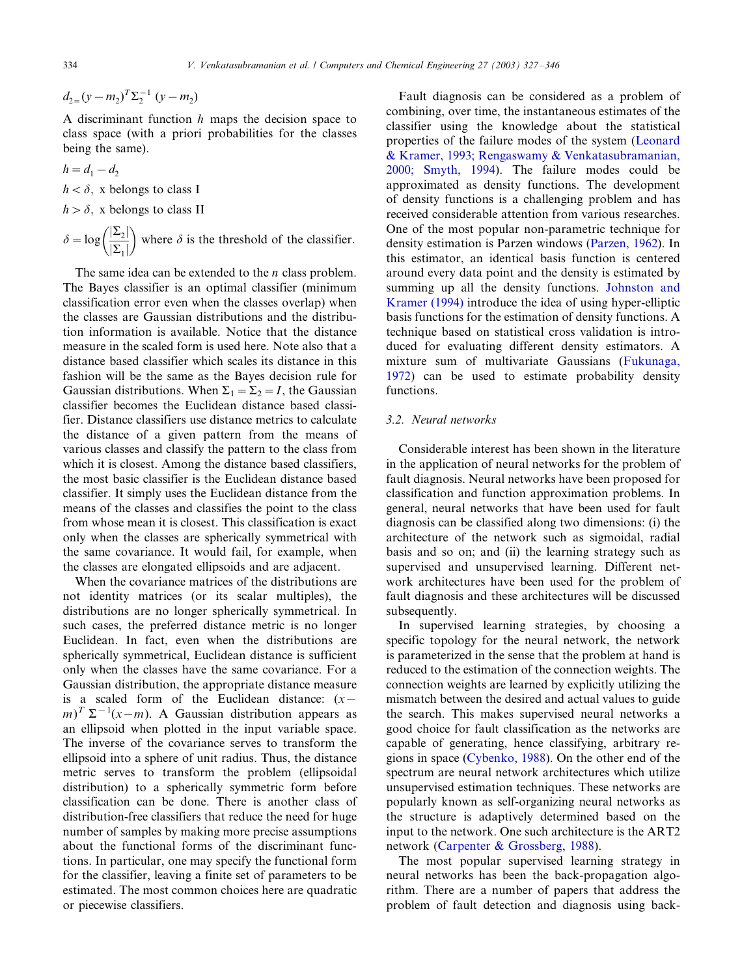$d_{2} = (y - m_2)^T \Sigma_2^{-1} (y - m_2)$ 

A discriminant function  $h$  maps the decision space to class space (with a priori probabilities for the classes being the same).

 $h = d_1 - d_2$ 

 $h < \delta$ , x belongs to class I

 $h > \delta$ , x belongs to class II

$$
\delta = \log \left( \frac{|\Sigma_2|}{|\Sigma_1|} \right)
$$
 where  $\delta$  is the threshold of the classifier.

The same idea can be extended to the  $n$  class problem. The Bayes classifier is an optimal classifier (minimum classification error even when the classes overlap) when the classes are Gaussian distributions and the distribution information is available. Notice that the distance measure in the scaled form is used here. Note also that a distance based classifier which scales its distance in this fashion will be the same as the Bayes decision rule for Gaussian distributions. When  $\Sigma_1 = \Sigma_2 = I$ , the Gaussian classifier becomes the Euclidean distance based classifier. Distance classifiers use distance metrics to calculate the distance of a given pattern from the means of various classes and classify the pattern to the class from which it is closest. Among the distance based classifiers, the most basic classifier is the Euclidean distance based classifier. It simply uses the Euclidean distance from the means of the classes and classifies the point to the class from whose mean it is closest. This classification is exact only when the classes are spherically symmetrical with the same covariance. It would fail, for example, when the classes are elongated ellipsoids and are adjacent.

When the covariance matrices of the distributions are not identity matrices (or its scalar multiples), the distributions are no longer spherically symmetrical. In such cases, the preferred distance metric is no longer Euclidean. In fact, even when the distributions are spherically symmetrical, Euclidean distance is sufficient only when the classes have the same covariance. For a Gaussian distribution, the appropriate distance measure is a scaled form of the Euclidean distance:  $(x (m)^T \Sigma^{-1}(x-m)$ . A Gaussian distribution appears as an ellipsoid when plotted in the input variable space. The inverse of the covariance serves to transform the ellipsoid into a sphere of unit radius. Thus, the distance metric serves to transform the problem (ellipsoidal distribution) to a spherically symmetric form before classification can be done. There is another class of distribution-free classifiers that reduce the need for huge number of samples by making more precise assumptions about the functional forms of the discriminant functions. In particular, one may specify the functional form for the classifier, leaving a finite set of parameters to be estimated. The most common choices here are quadratic or piecewise classifiers.

Fault diagnosis can be considered as a problem of combining, over time, the instantaneous estimates of the classifier using the knowledge about the statistical properties of the failure modes of the system (Leonard & Kramer, 1993; Rengaswamy & Venkatasubramanian, 2000; Smyth, 1994). The failure modes could be approximated as density functions. The development of density functions is a challenging problem and has received considerable attention from various researches. One of the most popular non-parametric technique for density estimation is Parzen windows (Parzen, 1962). In this estimator, an identical basis function is centered around every data point and the density is estimated by summing up all the density functions. Johnston and Kramer (1994) introduce the idea of using hyper-elliptic basis functions for the estimation of density functions. A technique based on statistical cross validation is introduced for evaluating different density estimators. A mixture sum of multivariate Gaussians (Fukunaga, 1972) can be used to estimate probability density functions.

# 3.2. Neural networks

Considerable interest has been shown in the literature in the application of neural networks for the problem of fault diagnosis. Neural networks have been proposed for classification and function approximation problems. In general, neural networks that have been used for fault diagnosis can be classified along two dimensions: (i) the architecture of the network such as sigmoidal, radial basis and so on; and (ii) the learning strategy such as supervised and unsupervised learning. Different network architectures have been used for the problem of fault diagnosis and these architectures will be discussed subsequently.

In supervised learning strategies, by choosing a specific topology for the neural network, the network is parameterized in the sense that the problem at hand is reduced to the estimation of the connection weights. The connection weights are learned by explicitly utilizing the mismatch between the desired and actual values to guide the search. This makes supervised neural networks a good choice for fault classification as the networks are capable of generating, hence classifying, arbitrary regions in space (Cybenko, 1988). On the other end of the spectrum are neural network architectures which utilize unsupervised estimation techniques. These networks are popularly known as self-organizing neural networks as the structure is adaptively determined based on the input to the network. One such architecture is the ART2 network (Carpenter & Grossberg, 1988).

The most popular supervised learning strategy in neural networks has been the back-propagation algorithm. There are a number of papers that address the problem of fault detection and diagnosis using back-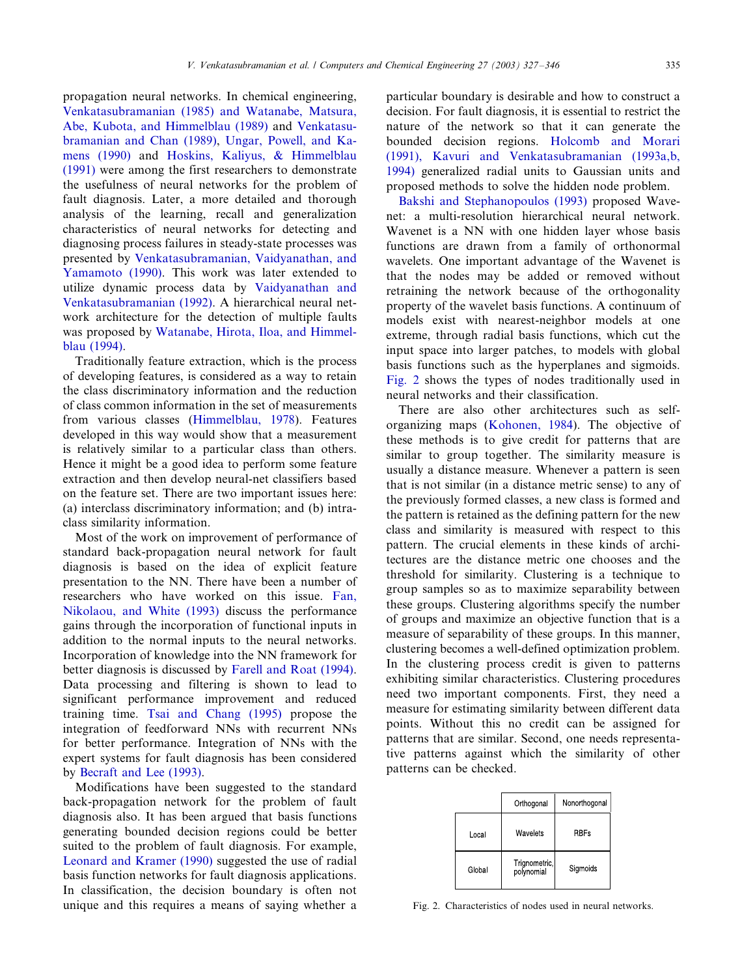propagation neural networks. In chemical engineering, Venkatasubramanian (1985) and Watanabe, Matsura, Abe, Kubota, and Himmelblau (1989) and Venkatasubramanian and Chan (1989), Ungar, Powell, and Kamens (1990) and Hoskins, Kaliyus, & Himmelblau (1991) were among the first researchers to demonstrate the usefulness of neural networks for the problem of fault diagnosis. Later, a more detailed and thorough analysis of the learning, recall and generalization characteristics of neural networks for detecting and diagnosing process failures in steady-state processes was presented by Venkatasubramanian, Vaidyanathan, and Yamamoto (1990). This work was later extended to utilize dynamic process data by Vaidyanathan and Venkatasubramanian (1992). A hierarchical neural network architecture for the detection of multiple faults was proposed by Watanabe, Hirota, Iloa, and Himmelblau (1994).

Traditionally feature extraction, which is the process of developing features, is considered as a way to retain the class discriminatory information and the reduction of class common information in the set of measurements from various classes (Himmelblau, 1978). Features developed in this way would show that a measurement is relatively similar to a particular class than others. Hence it might be a good idea to perform some feature extraction and then develop neural-net classifiers based on the feature set. There are two important issues here: (a) interclass discriminatory information; and (b) intraclass similarity information.

Most of the work on improvement of performance of standard back-propagation neural network for fault diagnosis is based on the idea of explicit feature presentation to the NN. There have been a number of researchers who have worked on this issue. Fan, Nikolaou, and White (1993) discuss the performance gains through the incorporation of functional inputs in addition to the normal inputs to the neural networks. Incorporation of knowledge into the NN framework for better diagnosis is discussed by Farell and Roat (1994). Data processing and filtering is shown to lead to significant performance improvement and reduced training time. Tsai and Chang (1995) propose the integration of feedforward NNs with recurrent NNs for better performance. Integration of NNs with the expert systems for fault diagnosis has been considered by Becraft and Lee (1993).

Modifications have been suggested to the standard back-propagation network for the problem of fault diagnosis also. It has been argued that basis functions generating bounded decision regions could be better suited to the problem of fault diagnosis. For example, Leonard and Kramer (1990) suggested the use of radial basis function networks for fault diagnosis applications. In classification, the decision boundary is often not unique and this requires a means of saying whether a

particular boundary is desirable and how to construct a decision. For fault diagnosis, it is essential to restrict the nature of the network so that it can generate the bounded decision regions. Holcomb and Morari (1991), Kavuri and Venkatasubramanian (1993a,b, 1994) generalized radial units to Gaussian units and proposed methods to solve the hidden node problem.

Bakshi and Stephanopoulos (1993) proposed Wavenet: a multi-resolution hierarchical neural network. Wavenet is a NN with one hidden layer whose basis functions are drawn from a family of orthonormal wavelets. One important advantage of the Wavenet is that the nodes may be added or removed without retraining the network because of the orthogonality property of the wavelet basis functions. A continuum of models exist with nearest-neighbor models at one extreme, through radial basis functions, which cut the input space into larger patches, to models with global basis functions such as the hyperplanes and sigmoids. Fig. 2 shows the types of nodes traditionally used in neural networks and their classification.

There are also other architectures such as selforganizing maps (Kohonen, 1984). The objective of these methods is to give credit for patterns that are similar to group together. The similarity measure is usually a distance measure. Whenever a pattern is seen that is not similar (in a distance metric sense) to any of the previously formed classes, a new class is formed and the pattern is retained as the defining pattern for the new class and similarity is measured with respect to this pattern. The crucial elements in these kinds of architectures are the distance metric one chooses and the threshold for similarity. Clustering is a technique to group samples so as to maximize separability between these groups. Clustering algorithms specify the number of groups and maximize an objective function that is a measure of separability of these groups. In this manner, clustering becomes a well-defined optimization problem. In the clustering process credit is given to patterns exhibiting similar characteristics. Clustering procedures need two important components. First, they need a measure for estimating similarity between different data points. Without this no credit can be assigned for patterns that are similar. Second, one needs representative patterns against which the similarity of other patterns can be checked.

|        | Orthogonal                  | Nonorthogonal |  |  |
|--------|-----------------------------|---------------|--|--|
| Local  | Wavelets                    | <b>RBFs</b>   |  |  |
| Global | Trignometric,<br>polynomial | Sigmoids      |  |  |

Fig. 2. Characteristics of nodes used in neural networks.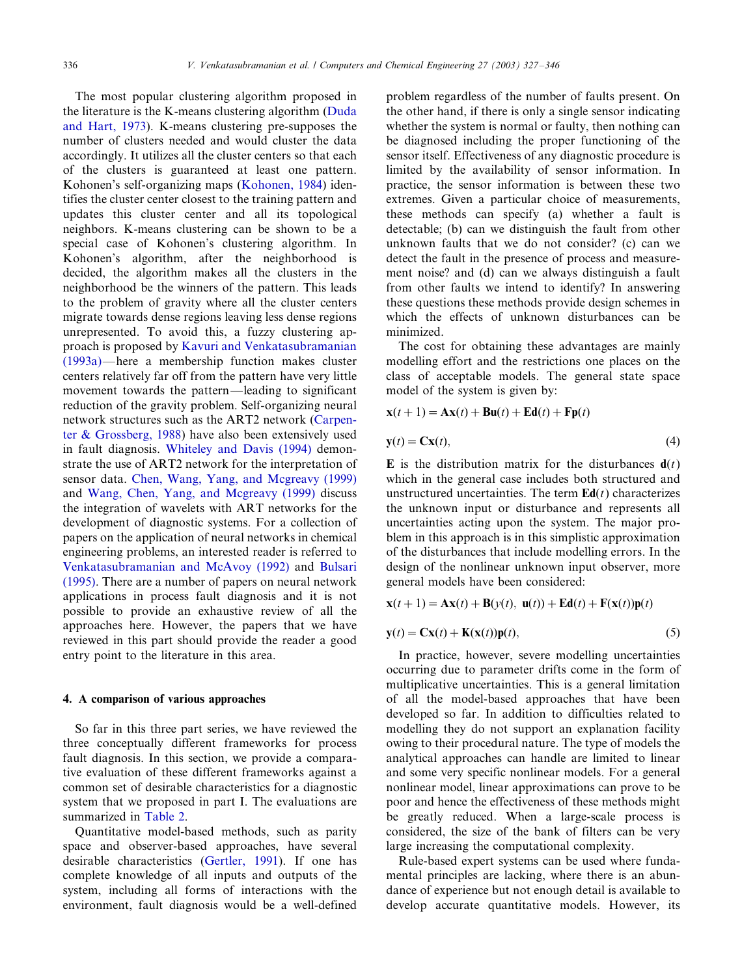The most popular clustering algorithm proposed in the literature is the K-means clustering algorithm (Duda and Hart, 1973). K-means clustering pre-supposes the number of clusters needed and would cluster the data accordingly. It utilizes all the cluster centers so that each of the clusters is guaranteed at least one pattern. Kohonen's self-organizing maps (Kohonen, 1984) identifies the cluster center closest to the training pattern and updates this cluster center and all its topological neighbors. K-means clustering can be shown to be a special case of Kohonen's clustering algorithm. In Kohonen's algorithm, after the neighborhood is decided, the algorithm makes all the clusters in the neighborhood be the winners of the pattern. This leads to the problem of gravity where all the cluster centers migrate towards dense regions leaving less dense regions unrepresented. To avoid this, a fuzzy clustering approach is proposed by Kavuri and Venkatasubramanian  $(1993a)$ —here a membership function makes cluster centers relatively far off from the pattern have very little movement towards the pattern-leading to significant reduction of the gravity problem. Self-organizing neural network structures such as the ART2 network (Carpenter & Grossberg, 1988) have also been extensively used in fault diagnosis. Whiteley and Davis (1994) demonstrate the use of ART2 network for the interpretation of sensor data. Chen, Wang, Yang, and Mcgreavy (1999) and Wang, Chen, Yang, and Mcgreavy (1999) discuss the integration of wavelets with ART networks for the development of diagnostic systems. For a collection of papers on the application of neural networks in chemical engineering problems, an interested reader is referred to Venkatasubramanian and McAvoy (1992) and Bulsari (1995). There are a number of papers on neural network applications in process fault diagnosis and it is not possible to provide an exhaustive review of all the approaches here. However, the papers that we have reviewed in this part should provide the reader a good entry point to the literature in this area.

#### 4. A comparison of various approaches

So far in this three part series, we have reviewed the three conceptually different frameworks for process fault diagnosis. In this section, we provide a comparative evaluation of these different frameworks against a common set of desirable characteristics for a diagnostic system that we proposed in part I. The evaluations are summarized in Table 2.

Quantitative model-based methods, such as parity space and observer-based approaches, have several desirable characteristics (Gertler, 1991). If one has complete knowledge of all inputs and outputs of the system, including all forms of interactions with the environment, fault diagnosis would be a well-defined

problem regardless of the number of faults present. On the other hand, if there is only a single sensor indicating whether the system is normal or faulty, then nothing can be diagnosed including the proper functioning of the sensor itself. Effectiveness of any diagnostic procedure is limited by the availability of sensor information. In practice, the sensor information is between these two extremes. Given a particular choice of measurements, these methods can specify (a) whether a fault is detectable; (b) can we distinguish the fault from other unknown faults that we do not consider? (c) can we detect the fault in the presence of process and measurement noise? and (d) can we always distinguish a fault from other faults we intend to identify? In answering these questions these methods provide design schemes in which the effects of unknown disturbances can be minimized.

The cost for obtaining these advantages are mainly modelling effort and the restrictions one places on the class of acceptable models. The general state space model of the system is given by:

$$
\mathbf{x}(t+1) = \mathbf{A}\mathbf{x}(t) + \mathbf{B}\mathbf{u}(t) + \mathbf{E}\mathbf{d}(t) + \mathbf{F}\mathbf{p}(t)
$$
  

$$
\mathbf{y}(t) = \mathbf{C}\mathbf{x}(t),
$$
 (4)

**E** is the distribution matrix for the disturbances  $d(t)$ which in the general case includes both structured and unstructured uncertainties. The term  $\mathbf{Ed}(t)$  characterizes the unknown input or disturbance and represents all uncertainties acting upon the system. The major problem in this approach is in this simplistic approximation of the disturbances that include modelling errors. In the design of the nonlinear unknown input observer, more general models have been considered:

$$
\mathbf{x}(t+1) = \mathbf{A}\mathbf{x}(t) + \mathbf{D}(y(t), \mathbf{u}(t)) + \mathbf{L}\mathbf{u}(t) + \mathbf{r}(\mathbf{x}(t))\mathbf{p}(t)
$$

 $\mathbf{x}(t+1) = \mathbf{A}\mathbf{x}(t) + \mathbf{D}(\mathbf{y}(t), \mathbf{w}(t)) + \mathbf{E}\mathbf{d}(t) + \mathbf{E}(\mathbf{x}(t))\mathbf{w}(t)$ 

$$
\mathbf{y}(t) = \mathbf{C}\mathbf{x}(t) + \mathbf{K}(\mathbf{x}(t))\mathbf{p}(t),
$$
\n(5)

In practice, however, severe modelling uncertainties occurring due to parameter drifts come in the form of multiplicative uncertainties. This is a general limitation of all the model-based approaches that have been developed so far. In addition to difficulties related to modelling they do not support an explanation facility owing to their procedural nature. The type of models the analytical approaches can handle are limited to linear and some very specific nonlinear models. For a general nonlinear model, linear approximations can prove to be poor and hence the effectiveness of these methods might be greatly reduced. When a large-scale process is considered, the size of the bank of filters can be very large increasing the computational complexity.

Rule-based expert systems can be used where fundamental principles are lacking, where there is an abundance of experience but not enough detail is available to develop accurate quantitative models. However, its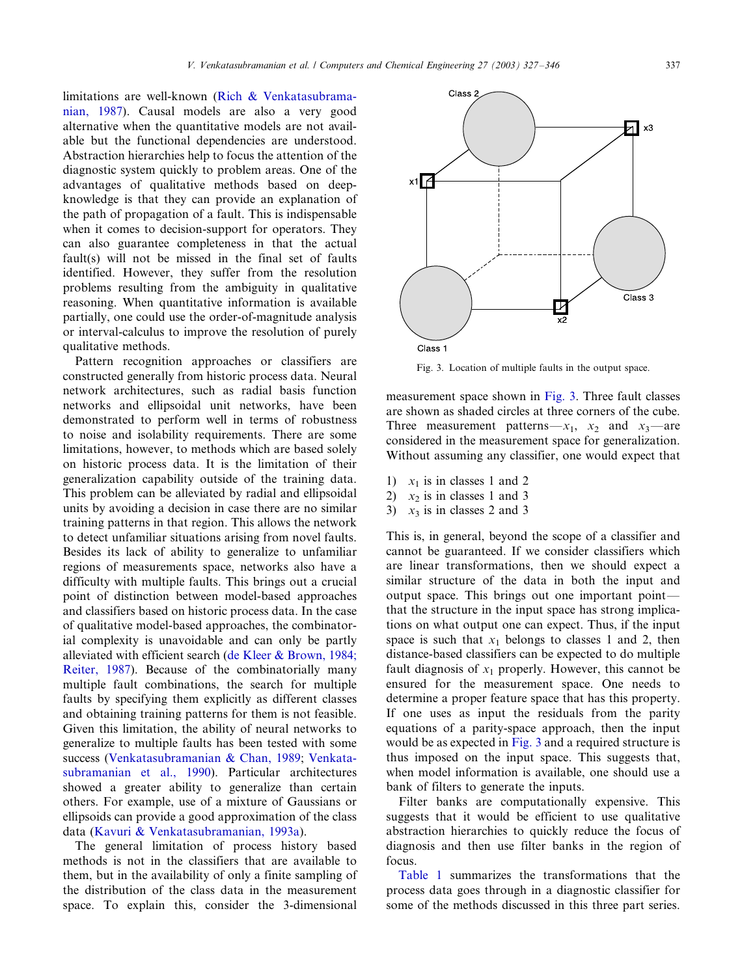limitations are well-known (Rich & Venkatasubramanian, 1987). Causal models are also a very good alternative when the quantitative models are not available but the functional dependencies are understood. Abstraction hierarchies help to focus the attention of the diagnostic system quickly to problem areas. One of the advantages of qualitative methods based on deepknowledge is that they can provide an explanation of the path of propagation of a fault. This is indispensable when it comes to decision-support for operators. They can also guarantee completeness in that the actual fault(s) will not be missed in the final set of faults identified. However, they suffer from the resolution problems resulting from the ambiguity in qualitative reasoning. When quantitative information is available partially, one could use the order-of-magnitude analysis or interval-calculus to improve the resolution of purely qualitative methods.

Pattern recognition approaches or classifiers are constructed generally from historic process data. Neural network architectures, such as radial basis function networks and ellipsoidal unit networks, have been demonstrated to perform well in terms of robustness to noise and isolability requirements. There are some limitations, however, to methods which are based solely on historic process data. It is the limitation of their generalization capability outside of the training data. This problem can be alleviated by radial and ellipsoidal units by avoiding a decision in case there are no similar training patterns in that region. This allows the network to detect unfamiliar situations arising from novel faults. Besides its lack of ability to generalize to unfamiliar regions of measurements space, networks also have a difficulty with multiple faults. This brings out a crucial point of distinction between model-based approaches and classifiers based on historic process data. In the case of qualitative model-based approaches, the combinatorial complexity is unavoidable and can only be partly alleviated with efficient search (de Kleer & Brown, 1984; Reiter, 1987). Because of the combinatorially many multiple fault combinations, the search for multiple faults by specifying them explicitly as different classes and obtaining training patterns for them is not feasible. Given this limitation, the ability of neural networks to generalize to multiple faults has been tested with some success (Venkatasubramanian & Chan, 1989; Venkatasubramanian et al., 1990). Particular architectures showed a greater ability to generalize than certain others. For example, use of a mixture of Gaussians or ellipsoids can provide a good approximation of the class data (Kavuri & Venkatasubramanian, 1993a).

The general limitation of process history based methods is not in the classifiers that are available to them, but in the availability of only a finite sampling of the distribution of the class data in the measurement space. To explain this, consider the 3-dimensional



Fig. 3. Location of multiple faults in the output space.

measurement space shown in Fig. 3. Three fault classes are shown as shaded circles at three corners of the cube. Three measurement patterns— $x_1$ ,  $x_2$  and  $x_3$ —are considered in the measurement space for generalization. Without assuming any classifier, one would expect that

- 1)  $x_1$  is in classes 1 and 2
- 2)  $x_2$  is in classes 1 and 3
- 3)  $x_3$  is in classes 2 and 3

This is, in general, beyond the scope of a classifier and cannot be guaranteed. If we consider classifiers which are linear transformations, then we should expect a similar structure of the data in both the input and output space. This brings out one important point that the structure in the input space has strong implications on what output one can expect. Thus, if the input space is such that  $x_1$  belongs to classes 1 and 2, then distance-based classifiers can be expected to do multiple fault diagnosis of  $x_1$  properly. However, this cannot be ensured for the measurement space. One needs to determine a proper feature space that has this property. If one uses as input the residuals from the parity equations of a parity-space approach, then the input would be as expected in Fig. 3 and a required structure is thus imposed on the input space. This suggests that, when model information is available, one should use a bank of filters to generate the inputs.

Filter banks are computationally expensive. This suggests that it would be efficient to use qualitative abstraction hierarchies to quickly reduce the focus of diagnosis and then use filter banks in the region of focus.

Table 1 summarizes the transformations that the process data goes through in a diagnostic classifier for some of the methods discussed in this three part series.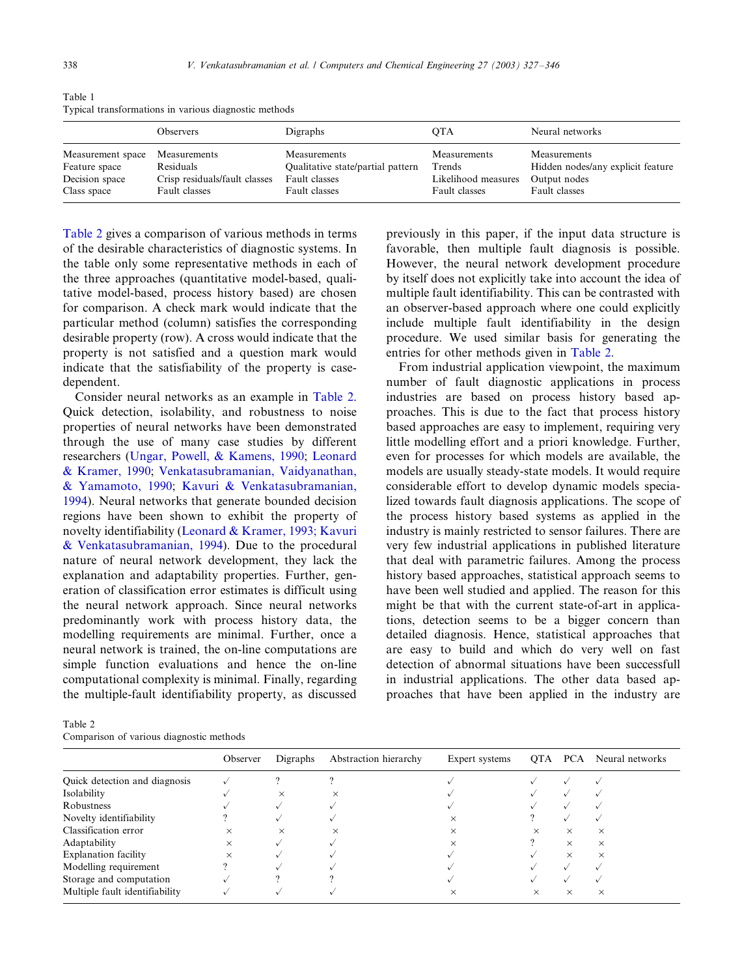|                                                                     | <b>Observers</b>                                                            | Digraphs                                                                            | <b>OTA</b>                                                     | Neural networks                                                                    |
|---------------------------------------------------------------------|-----------------------------------------------------------------------------|-------------------------------------------------------------------------------------|----------------------------------------------------------------|------------------------------------------------------------------------------------|
| Measurement space<br>Feature space<br>Decision space<br>Class space | Measurements<br>Residuals<br>Crisp residuals/fault classes<br>Fault classes | Measurements<br>Qualitative state/partial pattern<br>Fault classes<br>Fault classes | Measurements<br>Trends<br>Likelihood measures<br>Fault classes | Measurements<br>Hidden nodes/any explicit feature<br>Output nodes<br>Fault classes |

Table 1 Typical transformations in various diagnostic methods

Table 2 gives a comparison of various methods in terms of the desirable characteristics of diagnostic systems. In the table only some representative methods in each of the three approaches (quantitative model-based, qualitative model-based, process history based) are chosen for comparison. A check mark would indicate that the particular method (column) satisfies the corresponding desirable property (row). A cross would indicate that the property is not satisfied and a question mark would indicate that the satisfiability of the property is casedependent.

Consider neural networks as an example in Table 2. Quick detection, isolability, and robustness to noise properties of neural networks have been demonstrated through the use of many case studies by different researchers (Ungar, Powell, & Kamens, 1990; Leonard & Kramer, 1990; Venkatasubramanian, Vaidyanathan, & Yamamoto, 1990; Kavuri & Venkatasubramanian, 1994). Neural networks that generate bounded decision regions have been shown to exhibit the property of novelty identifiability (Leonard & Kramer, 1993; Kavuri & Venkatasubramanian, 1994). Due to the procedural nature of neural network development, they lack the explanation and adaptability properties. Further, generation of classification error estimates is difficult using the neural network approach. Since neural networks predominantly work with process history data, the modelling requirements are minimal. Further, once a neural network is trained, the on-line computations are simple function evaluations and hence the on-line computational complexity is minimal. Finally, regarding the multiple-fault identifiability property, as discussed

| Table 2                                  |  |
|------------------------------------------|--|
| Comparison of various diagnostic methods |  |

previously in this paper, if the input data structure is favorable, then multiple fault diagnosis is possible. However, the neural network development procedure by itself does not explicitly take into account the idea of multiple fault identifiability. This can be contrasted with an observer-based approach where one could explicitly include multiple fault identifiability in the design procedure. We used similar basis for generating the entries for other methods given in Table 2.

From industrial application viewpoint, the maximum number of fault diagnostic applications in process industries are based on process history based approaches. This is due to the fact that process history based approaches are easy to implement, requiring very little modelling effort and a priori knowledge. Further, even for processes for which models are available, the models are usually steady-state models. It would require considerable effort to develop dynamic models specialized towards fault diagnosis applications. The scope of the process history based systems as applied in the industry is mainly restricted to sensor failures. There are very few industrial applications in published literature that deal with parametric failures. Among the process history based approaches, statistical approach seems to have been well studied and applied. The reason for this might be that with the current state-of-art in applications, detection seems to be a bigger concern than detailed diagnosis. Hence, statistical approaches that are easy to build and which do very well on fast detection of abnormal situations have been successfull in industrial applications. The other data based approaches that have been applied in the industry are

|                                | Observer | Digraphs | Abstraction hierarchy | Expert systems | OTA PCA |          | Neural networks |
|--------------------------------|----------|----------|-----------------------|----------------|---------|----------|-----------------|
| Quick detection and diagnosis  |          |          |                       |                |         |          |                 |
| Isolability                    |          | $\times$ | $\times$              |                |         |          |                 |
| Robustness                     |          |          |                       |                |         |          |                 |
| Novelty identifiability        |          |          |                       | ×              |         |          |                 |
| Classification error           | $\times$ | $\times$ | $\times$              | $\times$       |         | $\times$ | $\times$        |
| Adaptability                   | ×        |          |                       |                |         | $\times$ | $\times$        |
| <b>Explanation facility</b>    | $\times$ |          |                       |                |         | $\times$ | $\times$        |
| Modelling requirement          |          |          |                       |                |         |          |                 |
| Storage and computation        |          |          |                       |                |         |          |                 |
| Multiple fault identifiability |          |          |                       | ×              |         | $\times$ | $\times$        |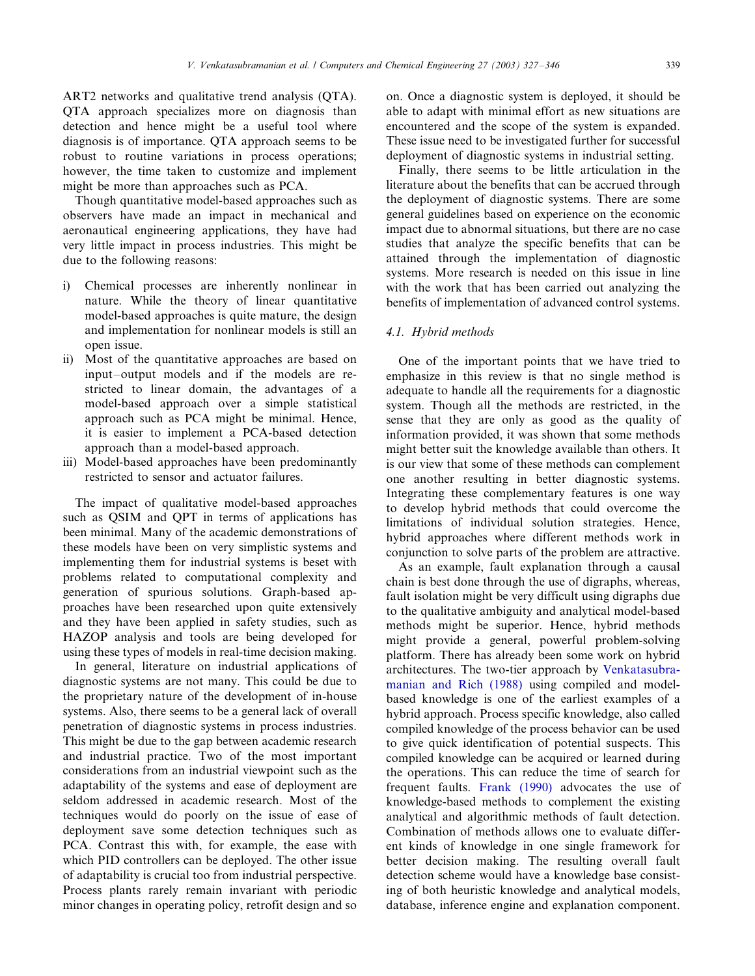ART2 networks and qualitative trend analysis (QTA). QTA approach specializes more on diagnosis than detection and hence might be a useful tool where diagnosis is of importance. QTA approach seems to be robust to routine variations in process operations; however, the time taken to customize and implement might be more than approaches such as PCA.

Though quantitative model-based approaches such as observers have made an impact in mechanical and aeronautical engineering applications, they have had very little impact in process industries. This might be due to the following reasons:

- i) Chemical processes are inherently nonlinear in nature. While the theory of linear quantitative model-based approaches is quite mature, the design and implementation for nonlinear models is still an open issue.
- ii) Most of the quantitative approaches are based on input-/output models and if the models are restricted to linear domain, the advantages of a model-based approach over a simple statistical approach such as PCA might be minimal. Hence, it is easier to implement a PCA-based detection approach than a model-based approach.
- iii) Model-based approaches have been predominantly restricted to sensor and actuator failures.

The impact of qualitative model-based approaches such as QSIM and QPT in terms of applications has been minimal. Many of the academic demonstrations of these models have been on very simplistic systems and implementing them for industrial systems is beset with problems related to computational complexity and generation of spurious solutions. Graph-based approaches have been researched upon quite extensively and they have been applied in safety studies, such as HAZOP analysis and tools are being developed for using these types of models in real-time decision making.

In general, literature on industrial applications of diagnostic systems are not many. This could be due to the proprietary nature of the development of in-house systems. Also, there seems to be a general lack of overall penetration of diagnostic systems in process industries. This might be due to the gap between academic research and industrial practice. Two of the most important considerations from an industrial viewpoint such as the adaptability of the systems and ease of deployment are seldom addressed in academic research. Most of the techniques would do poorly on the issue of ease of deployment save some detection techniques such as PCA. Contrast this with, for example, the ease with which PID controllers can be deployed. The other issue of adaptability is crucial too from industrial perspective. Process plants rarely remain invariant with periodic minor changes in operating policy, retrofit design and so

on. Once a diagnostic system is deployed, it should be able to adapt with minimal effort as new situations are encountered and the scope of the system is expanded. These issue need to be investigated further for successful deployment of diagnostic systems in industrial setting.

Finally, there seems to be little articulation in the literature about the benefits that can be accrued through the deployment of diagnostic systems. There are some general guidelines based on experience on the economic impact due to abnormal situations, but there are no case studies that analyze the specific benefits that can be attained through the implementation of diagnostic systems. More research is needed on this issue in line with the work that has been carried out analyzing the benefits of implementation of advanced control systems.

#### 4.1. Hybrid methods

One of the important points that we have tried to emphasize in this review is that no single method is adequate to handle all the requirements for a diagnostic system. Though all the methods are restricted, in the sense that they are only as good as the quality of information provided, it was shown that some methods might better suit the knowledge available than others. It is our view that some of these methods can complement one another resulting in better diagnostic systems. Integrating these complementary features is one way to develop hybrid methods that could overcome the limitations of individual solution strategies. Hence, hybrid approaches where different methods work in conjunction to solve parts of the problem are attractive.

As an example, fault explanation through a causal chain is best done through the use of digraphs, whereas, fault isolation might be very difficult using digraphs due to the qualitative ambiguity and analytical model-based methods might be superior. Hence, hybrid methods might provide a general, powerful problem-solving platform. There has already been some work on hybrid architectures. The two-tier approach by Venkatasubramanian and Rich (1988) using compiled and modelbased knowledge is one of the earliest examples of a hybrid approach. Process specific knowledge, also called compiled knowledge of the process behavior can be used to give quick identification of potential suspects. This compiled knowledge can be acquired or learned during the operations. This can reduce the time of search for frequent faults. Frank (1990) advocates the use of knowledge-based methods to complement the existing analytical and algorithmic methods of fault detection. Combination of methods allows one to evaluate different kinds of knowledge in one single framework for better decision making. The resulting overall fault detection scheme would have a knowledge base consisting of both heuristic knowledge and analytical models, database, inference engine and explanation component.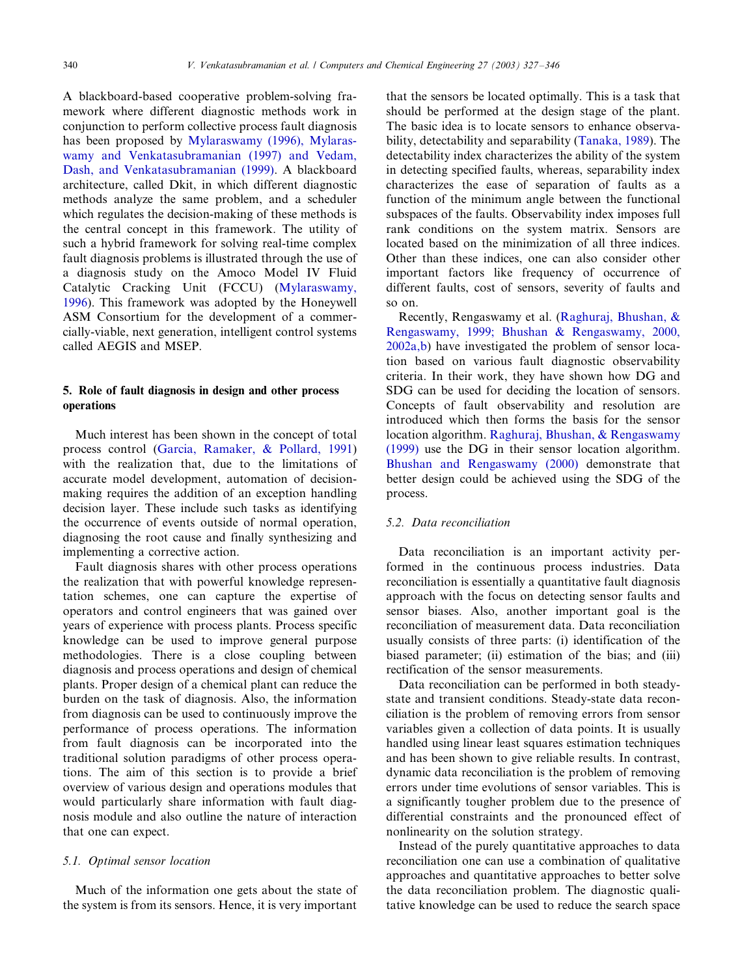A blackboard-based cooperative problem-solving framework where different diagnostic methods work in conjunction to perform collective process fault diagnosis has been proposed by Mylaraswamy (1996), Mylaraswamy and Venkatasubramanian (1997) and Vedam, Dash, and Venkatasubramanian (1999). A blackboard architecture, called Dkit, in which different diagnostic methods analyze the same problem, and a scheduler which regulates the decision-making of these methods is the central concept in this framework. The utility of such a hybrid framework for solving real-time complex fault diagnosis problems is illustrated through the use of a diagnosis study on the Amoco Model IV Fluid Catalytic Cracking Unit (FCCU) (Mylaraswamy, 1996). This framework was adopted by the Honeywell ASM Consortium for the development of a commercially-viable, next generation, intelligent control systems called AEGIS and MSEP.

# 5. Role of fault diagnosis in design and other process operations

Much interest has been shown in the concept of total process control (Garcia, Ramaker, & Pollard, 1991) with the realization that, due to the limitations of accurate model development, automation of decisionmaking requires the addition of an exception handling decision layer. These include such tasks as identifying the occurrence of events outside of normal operation, diagnosing the root cause and finally synthesizing and implementing a corrective action.

Fault diagnosis shares with other process operations the realization that with powerful knowledge representation schemes, one can capture the expertise of operators and control engineers that was gained over years of experience with process plants. Process specific knowledge can be used to improve general purpose methodologies. There is a close coupling between diagnosis and process operations and design of chemical plants. Proper design of a chemical plant can reduce the burden on the task of diagnosis. Also, the information from diagnosis can be used to continuously improve the performance of process operations. The information from fault diagnosis can be incorporated into the traditional solution paradigms of other process operations. The aim of this section is to provide a brief overview of various design and operations modules that would particularly share information with fault diagnosis module and also outline the nature of interaction that one can expect.

#### 5.1. Optimal sensor location

Much of the information one gets about the state of the system is from its sensors. Hence, it is very important

that the sensors be located optimally. This is a task that should be performed at the design stage of the plant. The basic idea is to locate sensors to enhance observability, detectability and separability (Tanaka, 1989). The detectability index characterizes the ability of the system in detecting specified faults, whereas, separability index characterizes the ease of separation of faults as a function of the minimum angle between the functional subspaces of the faults. Observability index imposes full rank conditions on the system matrix. Sensors are located based on the minimization of all three indices. Other than these indices, one can also consider other important factors like frequency of occurrence of different faults, cost of sensors, severity of faults and so on.

Recently, Rengaswamy et al. (Raghuraj, Bhushan, & Rengaswamy, 1999; Bhushan & Rengaswamy, 2000, 2002a,b) have investigated the problem of sensor location based on various fault diagnostic observability criteria. In their work, they have shown how DG and SDG can be used for deciding the location of sensors. Concepts of fault observability and resolution are introduced which then forms the basis for the sensor location algorithm. Raghuraj, Bhushan, & Rengaswamy (1999) use the DG in their sensor location algorithm. Bhushan and Rengaswamy (2000) demonstrate that better design could be achieved using the SDG of the process.

#### 5.2. Data reconciliation

Data reconciliation is an important activity performed in the continuous process industries. Data reconciliation is essentially a quantitative fault diagnosis approach with the focus on detecting sensor faults and sensor biases. Also, another important goal is the reconciliation of measurement data. Data reconciliation usually consists of three parts: (i) identification of the biased parameter; (ii) estimation of the bias; and (iii) rectification of the sensor measurements.

Data reconciliation can be performed in both steadystate and transient conditions. Steady-state data reconciliation is the problem of removing errors from sensor variables given a collection of data points. It is usually handled using linear least squares estimation techniques and has been shown to give reliable results. In contrast, dynamic data reconciliation is the problem of removing errors under time evolutions of sensor variables. This is a significantly tougher problem due to the presence of differential constraints and the pronounced effect of nonlinearity on the solution strategy.

Instead of the purely quantitative approaches to data reconciliation one can use a combination of qualitative approaches and quantitative approaches to better solve the data reconciliation problem. The diagnostic qualitative knowledge can be used to reduce the search space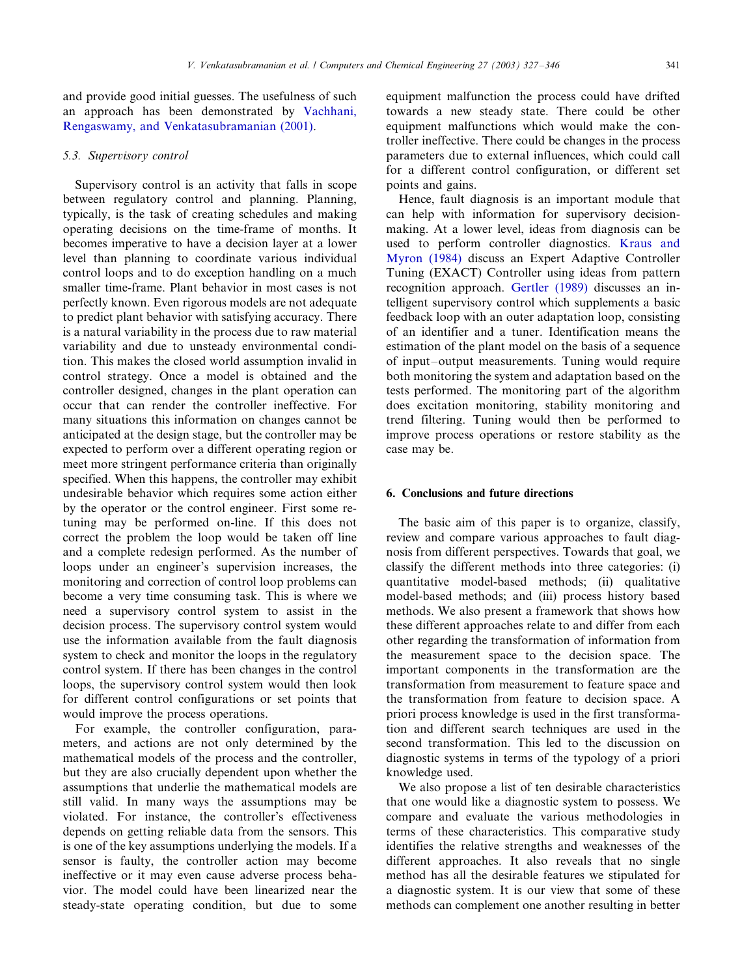and provide good initial guesses. The usefulness of such an approach has been demonstrated by Vachhani, Rengaswamy, and Venkatasubramanian (2001).

#### 5.3. Supervisory control

Supervisory control is an activity that falls in scope between regulatory control and planning. Planning, typically, is the task of creating schedules and making operating decisions on the time-frame of months. It becomes imperative to have a decision layer at a lower level than planning to coordinate various individual control loops and to do exception handling on a much smaller time-frame. Plant behavior in most cases is not perfectly known. Even rigorous models are not adequate to predict plant behavior with satisfying accuracy. There is a natural variability in the process due to raw material variability and due to unsteady environmental condition. This makes the closed world assumption invalid in control strategy. Once a model is obtained and the controller designed, changes in the plant operation can occur that can render the controller ineffective. For many situations this information on changes cannot be anticipated at the design stage, but the controller may be expected to perform over a different operating region or meet more stringent performance criteria than originally specified. When this happens, the controller may exhibit undesirable behavior which requires some action either by the operator or the control engineer. First some retuning may be performed on-line. If this does not correct the problem the loop would be taken off line and a complete redesign performed. As the number of loops under an engineer's supervision increases, the monitoring and correction of control loop problems can become a very time consuming task. This is where we need a supervisory control system to assist in the decision process. The supervisory control system would use the information available from the fault diagnosis system to check and monitor the loops in the regulatory control system. If there has been changes in the control loops, the supervisory control system would then look for different control configurations or set points that would improve the process operations.

For example, the controller configuration, parameters, and actions are not only determined by the mathematical models of the process and the controller, but they are also crucially dependent upon whether the assumptions that underlie the mathematical models are still valid. In many ways the assumptions may be violated. For instance, the controller's effectiveness depends on getting reliable data from the sensors. This is one of the key assumptions underlying the models. If a sensor is faulty, the controller action may become ineffective or it may even cause adverse process behavior. The model could have been linearized near the steady-state operating condition, but due to some

equipment malfunction the process could have drifted towards a new steady state. There could be other equipment malfunctions which would make the controller ineffective. There could be changes in the process parameters due to external influences, which could call for a different control configuration, or different set points and gains.

Hence, fault diagnosis is an important module that can help with information for supervisory decisionmaking. At a lower level, ideas from diagnosis can be used to perform controller diagnostics. Kraus and Myron (1984) discuss an Expert Adaptive Controller Tuning (EXACT) Controller using ideas from pattern recognition approach. Gertler (1989) discusses an intelligent supervisory control which supplements a basic feedback loop with an outer adaptation loop, consisting of an identifier and a tuner. Identification means the estimation of the plant model on the basis of a sequence of input-output measurements. Tuning would require both monitoring the system and adaptation based on the tests performed. The monitoring part of the algorithm does excitation monitoring, stability monitoring and trend filtering. Tuning would then be performed to improve process operations or restore stability as the case may be.

#### 6. Conclusions and future directions

The basic aim of this paper is to organize, classify, review and compare various approaches to fault diagnosis from different perspectives. Towards that goal, we classify the different methods into three categories: (i) quantitative model-based methods; (ii) qualitative model-based methods; and (iii) process history based methods. We also present a framework that shows how these different approaches relate to and differ from each other regarding the transformation of information from the measurement space to the decision space. The important components in the transformation are the transformation from measurement to feature space and the transformation from feature to decision space. A priori process knowledge is used in the first transformation and different search techniques are used in the second transformation. This led to the discussion on diagnostic systems in terms of the typology of a priori knowledge used.

We also propose a list of ten desirable characteristics that one would like a diagnostic system to possess. We compare and evaluate the various methodologies in terms of these characteristics. This comparative study identifies the relative strengths and weaknesses of the different approaches. It also reveals that no single method has all the desirable features we stipulated for a diagnostic system. It is our view that some of these methods can complement one another resulting in better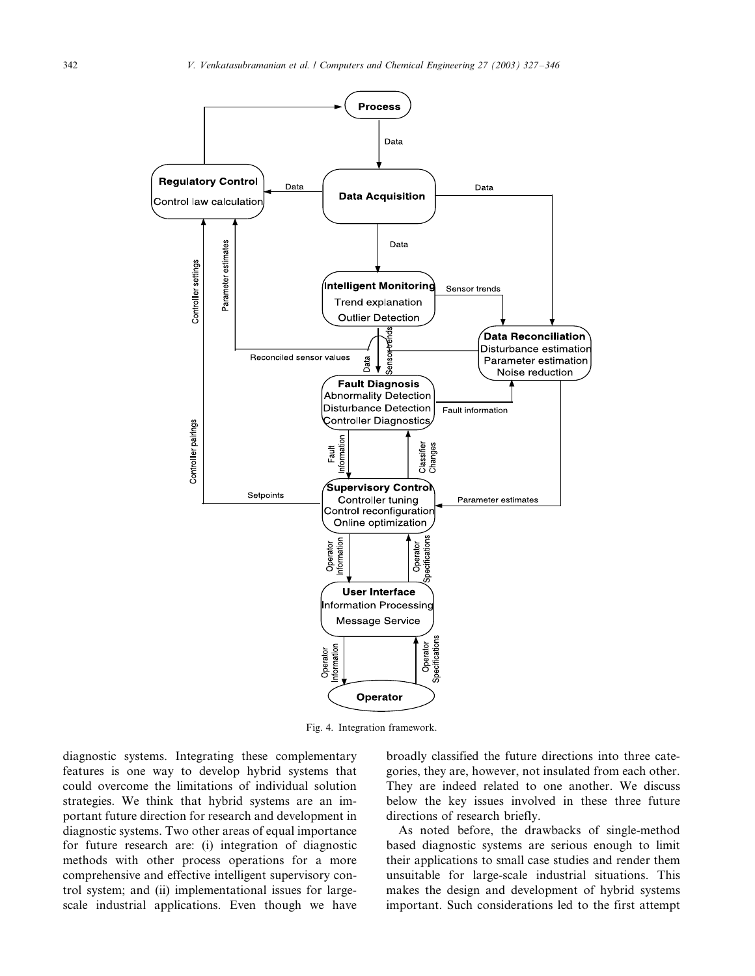

Fig. 4. Integration framework.

diagnostic systems. Integrating these complementary features is one way to develop hybrid systems that could overcome the limitations of individual solution strategies. We think that hybrid systems are an important future direction for research and development in diagnostic systems. Two other areas of equal importance for future research are: (i) integration of diagnostic methods with other process operations for a more comprehensive and effective intelligent supervisory control system; and (ii) implementational issues for largescale industrial applications. Even though we have

broadly classified the future directions into three categories, they are, however, not insulated from each other. They are indeed related to one another. We discuss below the key issues involved in these three future directions of research briefly.

As noted before, the drawbacks of single-method based diagnostic systems are serious enough to limit their applications to small case studies and render them unsuitable for large-scale industrial situations. This makes the design and development of hybrid systems important. Such considerations led to the first attempt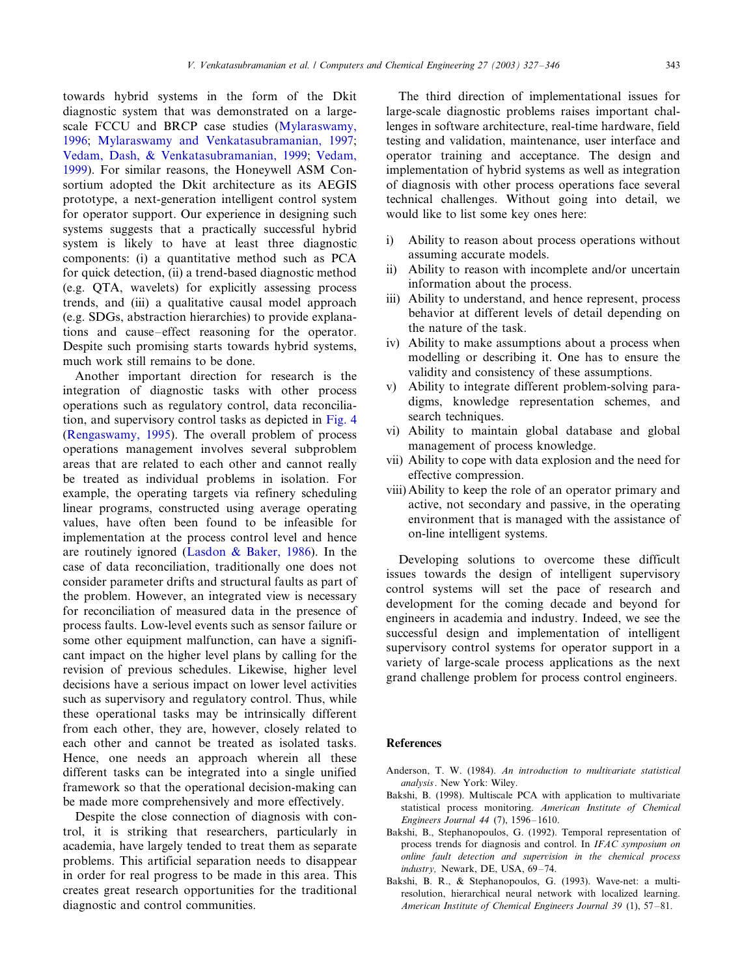towards hybrid systems in the form of the Dkit diagnostic system that was demonstrated on a largescale FCCU and BRCP case studies (Mylaraswamy, 1996; Mylaraswamy and Venkatasubramanian, 1997; Vedam, Dash, & Venkatasubramanian, 1999; Vedam, 1999). For similar reasons, the Honeywell ASM Consortium adopted the Dkit architecture as its AEGIS prototype, a next-generation intelligent control system for operator support. Our experience in designing such systems suggests that a practically successful hybrid system is likely to have at least three diagnostic components: (i) a quantitative method such as PCA for quick detection, (ii) a trend-based diagnostic method (e.g. QTA, wavelets) for explicitly assessing process trends, and (iii) a qualitative causal model approach (e.g. SDGs, abstraction hierarchies) to provide explanations and cause-effect reasoning for the operator. Despite such promising starts towards hybrid systems, much work still remains to be done.

Another important direction for research is the integration of diagnostic tasks with other process operations such as regulatory control, data reconciliation, and supervisory control tasks as depicted in Fig. 4 (Rengaswamy, 1995). The overall problem of process operations management involves several subproblem areas that are related to each other and cannot really be treated as individual problems in isolation. For example, the operating targets via refinery scheduling linear programs, constructed using average operating values, have often been found to be infeasible for implementation at the process control level and hence are routinely ignored (Lasdon & Baker, 1986). In the case of data reconciliation, traditionally one does not consider parameter drifts and structural faults as part of the problem. However, an integrated view is necessary for reconciliation of measured data in the presence of process faults. Low-level events such as sensor failure or some other equipment malfunction, can have a significant impact on the higher level plans by calling for the revision of previous schedules. Likewise, higher level decisions have a serious impact on lower level activities such as supervisory and regulatory control. Thus, while these operational tasks may be intrinsically different from each other, they are, however, closely related to each other and cannot be treated as isolated tasks. Hence, one needs an approach wherein all these different tasks can be integrated into a single unified framework so that the operational decision-making can be made more comprehensively and more effectively.

Despite the close connection of diagnosis with control, it is striking that researchers, particularly in academia, have largely tended to treat them as separate problems. This artificial separation needs to disappear in order for real progress to be made in this area. This creates great research opportunities for the traditional diagnostic and control communities.

The third direction of implementational issues for large-scale diagnostic problems raises important challenges in software architecture, real-time hardware, field testing and validation, maintenance, user interface and operator training and acceptance. The design and implementation of hybrid systems as well as integration of diagnosis with other process operations face several technical challenges. Without going into detail, we would like to list some key ones here:

- i) Ability to reason about process operations without assuming accurate models.
- ii) Ability to reason with incomplete and/or uncertain information about the process.
- iii) Ability to understand, and hence represent, process behavior at different levels of detail depending on the nature of the task.
- iv) Ability to make assumptions about a process when modelling or describing it. One has to ensure the validity and consistency of these assumptions.
- v) Ability to integrate different problem-solving paradigms, knowledge representation schemes, and search techniques.
- vi) Ability to maintain global database and global management of process knowledge.
- vii) Ability to cope with data explosion and the need for effective compression.
- viii) Ability to keep the role of an operator primary and active, not secondary and passive, in the operating environment that is managed with the assistance of on-line intelligent systems.

Developing solutions to overcome these difficult issues towards the design of intelligent supervisory control systems will set the pace of research and development for the coming decade and beyond for engineers in academia and industry. Indeed, we see the successful design and implementation of intelligent supervisory control systems for operator support in a variety of large-scale process applications as the next grand challenge problem for process control engineers.

#### References

- Anderson, T. W. (1984). An introduction to multivariate statistical analysis. New York: Wiley.
- Bakshi, B. (1998). Multiscale PCA with application to multivariate statistical process monitoring. American Institute of Chemical Engineers Journal 44 (7), 1596-1610.
- Bakshi, B., Stephanopoulos, G. (1992). Temporal representation of process trends for diagnosis and control. In IFAC symposium on online fault detection and supervision in the chemical process industry, Newark, DE, USA, 69-74.
- Bakshi, B. R., & Stephanopoulos, G. (1993). Wave-net: a multiresolution, hierarchical neural network with localized learning. American Institute of Chemical Engineers Journal 39 (1), 57-81.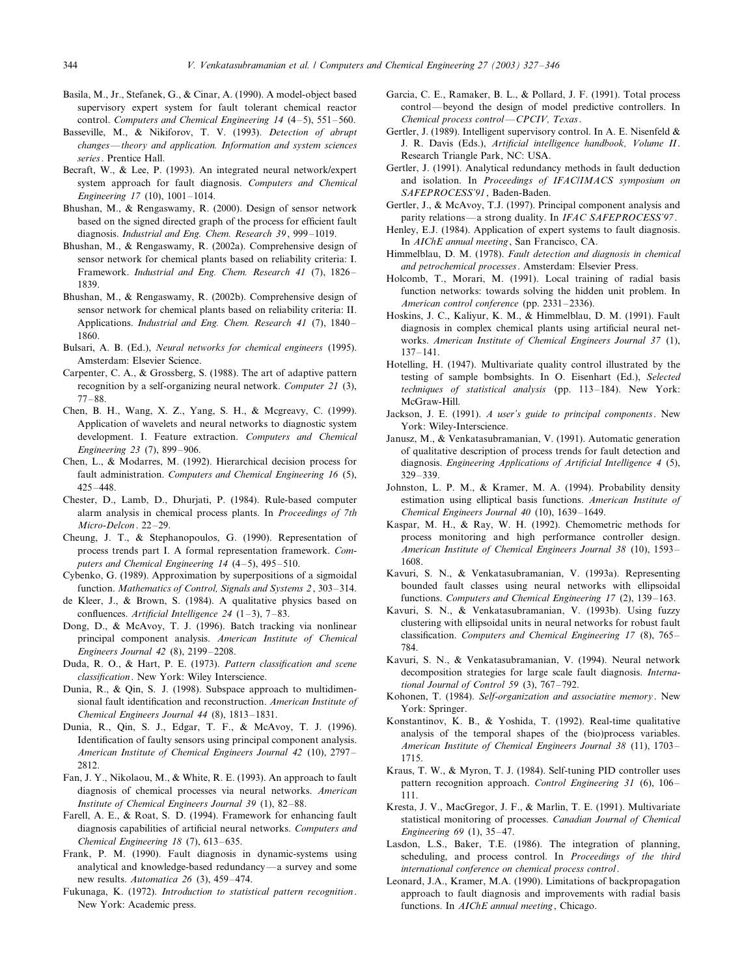- Basila, M., Jr., Stefanek, G., & Cinar, A. (1990). A model-object based supervisory expert system for fault tolerant chemical reactor control. Computers and Chemical Engineering 14 (4-5), 551-560.
- Basseville, M., & Nikiforov, T. V. (1993). Detection of abrupt  $changes$ —theory and application. Information and system sciences series. Prentice Hall.
- Becraft, W., & Lee, P. (1993). An integrated neural network/expert system approach for fault diagnosis. Computers and Chemical Engineering 17 (10), 1001-1014.
- Bhushan, M., & Rengaswamy, R. (2000). Design of sensor network based on the signed directed graph of the process for efficient fault diagnosis. Industrial and Eng. Chem. Research 39, 999-1019.
- Bhushan, M., & Rengaswamy, R. (2002a). Comprehensive design of sensor network for chemical plants based on reliability criteria: I. Framework. Industrial and Eng. Chem. Research 41 (7), 1826-1839.
- Bhushan, M., & Rengaswamy, R. (2002b). Comprehensive design of sensor network for chemical plants based on reliability criteria: II. Applications. Industrial and Eng. Chem. Research 41 (7), 1840-1860.
- Bulsari, A. B. (Ed.), Neural networks for chemical engineers (1995). Amsterdam: Elsevier Science.
- Carpenter, C. A., & Grossberg, S. (1988). The art of adaptive pattern recognition by a self-organizing neural network. Computer 21 (3),  $77 - 88.$
- Chen, B. H., Wang, X. Z., Yang, S. H., & Mcgreavy, C. (1999). Application of wavelets and neural networks to diagnostic system development. I. Feature extraction. Computers and Chemical Engineering 23 (7), 899-906.
- Chen, L., & Modarres, M. (1992). Hierarchical decision process for fault administration. Computers and Chemical Engineering 16 (5), 425-/448.
- Chester, D., Lamb, D., Dhurjati, P. (1984). Rule-based computer alarm analysis in chemical process plants. In Proceedings of 7th Micro-Delcon. 22-29.
- Cheung, J. T., & Stephanopoulos, G. (1990). Representation of process trends part I. A formal representation framework. Computers and Chemical Engineering 14 (4-5), 495-510.
- Cybenko, G. (1989). Approximation by superpositions of a sigmoidal function. Mathematics of Control, Signals and Systems 2, 303-314.
- de Kleer, J., & Brown, S. (1984). A qualitative physics based on confluences. Artificial Intelligence 24  $(1-3)$ , 7-83.
- Dong, D., & McAvoy, T. J. (1996). Batch tracking via nonlinear principal component analysis. American Institute of Chemical Engineers Journal 42 (8), 2199-2208.
- Duda, R. O., & Hart, P. E. (1973). Pattern classification and scene classification. New York: Wiley Interscience.
- Dunia, R., & Qin, S. J. (1998). Subspace approach to multidimensional fault identification and reconstruction. American Institute of Chemical Engineers Journal 44 (8), 1813-1831.
- Dunia, R., Qin, S. J., Edgar, T. F., & McAvoy, T. J. (1996). Identification of faulty sensors using principal component analysis. American Institute of Chemical Engineers Journal 42 (10), 2797-/ 2812.
- Fan, J. Y., Nikolaou, M., & White, R. E. (1993). An approach to fault diagnosis of chemical processes via neural networks. American Institute of Chemical Engineers Journal 39 (1), 82-88.
- Farell, A. E., & Roat, S. D. (1994). Framework for enhancing fault diagnosis capabilities of artificial neural networks. Computers and Chemical Engineering 18 (7), 613-635.
- Frank, P. M. (1990). Fault diagnosis in dynamic-systems using analytical and knowledge-based redundancy-a survey and some new results. Automatica 26 (3), 459-474.
- Fukunaga, K. (1972). Introduction to statistical pattern recognition. New York: Academic press.
- Garcia, C. E., Ramaker, B. L., & Pollard, J. F. (1991). Total process control-beyond the design of model predictive controllers. In Chemical process control-CPCIV, Texas.
- Gertler, J. (1989). Intelligent supervisory control. In A. E. Nisenfeld & J. R. Davis (Eds.), Artificial intelligence handbook, Volume II. Research Triangle Park, NC: USA.
- Gertler, J. (1991). Analytical redundancy methods in fault deduction and isolation. In Proceedings of IFAC/IMACS symposium on SAFEPROCESS'91, Baden-Baden.
- Gertler, J., & McAvoy, T.J. (1997). Principal component analysis and parity relations-a strong duality. In IFAC SAFEPROCESS'97.
- Henley, E.J. (1984). Application of expert systems to fault diagnosis. In AIChE annual meeting, San Francisco, CA.
- Himmelblau, D. M. (1978). Fault detection and diagnosis in chemical and petrochemical processes. Amsterdam: Elsevier Press.
- Holcomb, T., Morari, M. (1991). Local training of radial basis function networks: towards solving the hidden unit problem. In American control conference (pp. 2331-2336).
- Hoskins, J. C., Kaliyur, K. M., & Himmelblau, D. M. (1991). Fault diagnosis in complex chemical plants using artificial neural networks. American Institute of Chemical Engineers Journal 37 (1), 137-/141.
- Hotelling, H. (1947). Multivariate quality control illustrated by the testing of sample bombsights. In O. Eisenhart (Ed.), Selected techniques of statistical analysis (pp. 113-184). New York: McGraw-Hill.
- Jackson, J. E. (1991). A user's guide to principal components. New York: Wiley-Interscience.
- Janusz, M., & Venkatasubramanian, V. (1991). Automatic generation of qualitative description of process trends for fault detection and diagnosis. Engineering Applications of Artificial Intelligence 4 (5), 329-/339.
- Johnston, L. P. M., & Kramer, M. A. (1994). Probability density estimation using elliptical basis functions. American Institute of Chemical Engineers Journal 40 (10), 1639-1649.
- Kaspar, M. H., & Ray, W. H. (1992). Chemometric methods for process monitoring and high performance controller design. American Institute of Chemical Engineers Journal 38 (10), 1593-1608.
- Kavuri, S. N., & Venkatasubramanian, V. (1993a). Representing bounded fault classes using neural networks with ellipsoidal functions. Computers and Chemical Engineering 17 (2), 139-163.
- Kavuri, S. N., & Venkatasubramanian, V. (1993b). Using fuzzy clustering with ellipsoidal units in neural networks for robust fault classification. Computers and Chemical Engineering 17 (8), 765-784.
- Kavuri, S. N., & Venkatasubramanian, V. (1994). Neural network decomposition strategies for large scale fault diagnosis. International Journal of Control 59 (3), 767-792.
- Kohonen, T. (1984). Self-organization and associative memory. New York: Springer.
- Konstantinov, K. B., & Yoshida, T. (1992). Real-time qualitative analysis of the temporal shapes of the (bio)process variables. American Institute of Chemical Engineers Journal 38 (11), 1703-/ 1715.
- Kraus, T. W., & Myron, T. J. (1984). Self-tuning PID controller uses pattern recognition approach. Control Engineering 31 (6), 106-111.
- Kresta, J. V., MacGregor, J. F., & Marlin, T. E. (1991). Multivariate statistical monitoring of processes. Canadian Journal of Chemical Engineering 69 (1), 35-47.
- Lasdon, L.S., Baker, T.E. (1986). The integration of planning, scheduling, and process control. In Proceedings of the third international conference on chemical process control.
- Leonard, J.A., Kramer, M.A. (1990). Limitations of backpropagation approach to fault diagnosis and improvements with radial basis functions. In AIChE annual meeting, Chicago.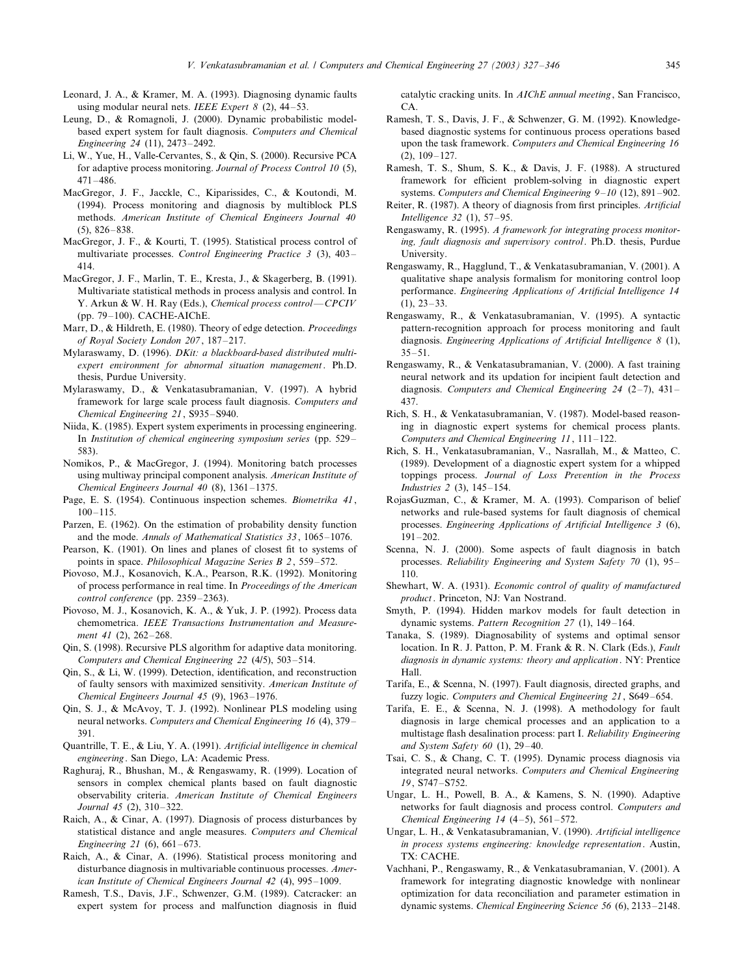- Leonard, J. A., & Kramer, M. A. (1993). Diagnosing dynamic faults using modular neural nets. IEEE Expert  $8$  (2), 44-53.
- Leung, D., & Romagnoli, J. (2000). Dynamic probabilistic modelbased expert system for fault diagnosis. Computers and Chemical Engineering 24 (11), 2473-2492.
- Li, W., Yue, H., Valle-Cervantes, S., & Qin, S. (2000). Recursive PCA for adaptive process monitoring. Journal of Process Control 10 (5), 471-/486.
- MacGregor, J. F., Jacckle, C., Kiparissides, C., & Koutondi, M. (1994). Process monitoring and diagnosis by multiblock PLS methods. American Institute of Chemical Engineers Journal 40  $(5), 826 - 838.$
- MacGregor, J. F., & Kourti, T. (1995). Statistical process control of multivariate processes. Control Engineering Practice 3 (3), 403-414.
- MacGregor, J. F., Marlin, T. E., Kresta, J., & Skagerberg, B. (1991). Multivariate statistical methods in process analysis and control. In Y. Arkun & W. H. Ray (Eds.), Chemical process control-CPCIV (pp. 79-100). CACHE-AIChE.
- Marr, D., & Hildreth, E. (1980). Theory of edge detection. Proceedings of Royal Society London 207, 187-217.
- Mylaraswamy, D. (1996). DKit: a blackboard-based distributed multiexpert environment for abnormal situation management. Ph.D. thesis, Purdue University.
- Mylaraswamy, D., & Venkatasubramanian, V. (1997). A hybrid framework for large scale process fault diagnosis. Computers and Chemical Engineering 21, S935-S940.
- Niida, K. (1985). Expert system experiments in processing engineering. In Institution of chemical engineering symposium series (pp. 529-583).
- Nomikos, P., & MacGregor, J. (1994). Monitoring batch processes using multiway principal component analysis. American Institute of Chemical Engineers Journal  $40$  (8),  $1361-1375$ .
- Page, E. S. (1954). Continuous inspection schemes. Biometrika 41,  $100 - 115$ .
- Parzen, E. (1962). On the estimation of probability density function and the mode. Annals of Mathematical Statistics 33, 1065-1076.
- Pearson, K. (1901). On lines and planes of closest fit to systems of points in space. Philosophical Magazine Series B 2, 559-572.
- Piovoso, M.J., Kosanovich, K.A., Pearson, R.K. (1992). Monitoring of process performance in real time. In Proceedings of the American control conference (pp. 2359-2363).
- Piovoso, M. J., Kosanovich, K. A., & Yuk, J. P. (1992). Process data chemometrica. IEEE Transactions Instrumentation and Measurement 41 (2), 262-268.
- Qin, S. (1998). Recursive PLS algorithm for adaptive data monitoring. Computers and Chemical Engineering 22 (4/5), 503-514.
- Qin, S., & Li, W. (1999). Detection, identification, and reconstruction of faulty sensors with maximized sensitivity. American Institute of Chemical Engineers Journal 45 (9), 1963-1976.
- Qin, S. J., & McAvoy, T. J. (1992). Nonlinear PLS modeling using neural networks. Computers and Chemical Engineering 16 (4), 379-391.
- Quantrille, T. E., & Liu, Y. A. (1991). Artificial intelligence in chemical engineering . San Diego, LA: Academic Press.
- Raghuraj, R., Bhushan, M., & Rengaswamy, R. (1999). Location of sensors in complex chemical plants based on fault diagnostic observability criteria. American Institute of Chemical Engineers Journal 45 (2), 310-322.
- Raich, A., & Cinar, A. (1997). Diagnosis of process disturbances by statistical distance and angle measures. Computers and Chemical Engineering 21 (6), 661-673.
- Raich, A., & Cinar, A. (1996). Statistical process monitoring and disturbance diagnosis in multivariable continuous processes. American Institute of Chemical Engineers Journal 42 (4), 995-1009.
- Ramesh, T.S., Davis, J.F., Schwenzer, G.M. (1989). Catcracker: an expert system for process and malfunction diagnosis in fluid

catalytic cracking units. In AIChE annual meeting, San Francisco, CA.

- Ramesh, T. S., Davis, J. F., & Schwenzer, G. M. (1992). Knowledgebased diagnostic systems for continuous process operations based upon the task framework. Computers and Chemical Engineering 16  $(2), 109 - 127.$
- Ramesh, T. S., Shum, S. K., & Davis, J. F. (1988). A structured framework for efficient problem-solving in diagnostic expert systems. Computers and Chemical Engineering 9-10 (12), 891-902.
- Reiter, R. (1987). A theory of diagnosis from first principles. Artificial Intelligence 32 (1), 57-95.
- Rengaswamy, R. (1995). A framework for integrating process monitoring, fault diagnosis and supervisory control. Ph.D. thesis, Purdue University.
- Rengaswamy, R., Hagglund, T., & Venkatasubramanian, V. (2001). A qualitative shape analysis formalism for monitoring control loop performance. Engineering Applications of Artificial Intelligence 14  $(1), 23-33.$
- Rengaswamy, R., & Venkatasubramanian, V. (1995). A syntactic pattern-recognition approach for process monitoring and fault diagnosis. Engineering Applications of Artificial Intelligence 8 (1),  $35 - 51$ .
- Rengaswamy, R., & Venkatasubramanian, V. (2000). A fast training neural network and its updation for incipient fault detection and diagnosis. Computers and Chemical Engineering  $24$  (2-7), 431-437.
- Rich, S. H., & Venkatasubramanian, V. (1987). Model-based reasoning in diagnostic expert systems for chemical process plants. Computers and Chemical Engineering 11, 111-122.
- Rich, S. H., Venkatasubramanian, V., Nasrallah, M., & Matteo, C. (1989). Development of a diagnostic expert system for a whipped toppings process. Journal of Loss Prevention in the Process Industries 2 (3), 145-154.
- RojasGuzman, C., & Kramer, M. A. (1993). Comparison of belief networks and rule-based systems for fault diagnosis of chemical processes. Engineering Applications of Artificial Intelligence 3 (6), 191-/202.
- Scenna, N. J. (2000). Some aspects of fault diagnosis in batch processes. Reliability Engineering and System Safety 70 (1), 95-110.
- Shewhart, W. A. (1931). Economic control of quality of manufactured product. Princeton, NJ: Van Nostrand.
- Smyth, P. (1994). Hidden markov models for fault detection in dynamic systems. Pattern Recognition 27 (1), 149-164.
- Tanaka, S. (1989). Diagnosability of systems and optimal sensor location. In R. J. Patton, P. M. Frank & R. N. Clark (Eds.), Fault diagnosis in dynamic systems: theory and application . NY: Prentice Hall.
- Tarifa, E., & Scenna, N. (1997). Fault diagnosis, directed graphs, and fuzzy logic. Computers and Chemical Engineering 21, S649-654.
- Tarifa, E. E., & Scenna, N. J. (1998). A methodology for fault diagnosis in large chemical processes and an application to a multistage flash desalination process: part I. Reliability Engineering and System Safety 60 (1), 29-40.
- Tsai, C. S., & Chang, C. T. (1995). Dynamic process diagnosis via integrated neural networks. Computers and Chemical Engineering 19, S747-S752.
- Ungar, L. H., Powell, B. A., & Kamens, S. N. (1990). Adaptive networks for fault diagnosis and process control. Computers and Chemical Engineering  $14$  (4-5), 561-572.
- Ungar, L. H., & Venkatasubramanian, V. (1990). Artificial intelligence in process systems engineering: knowledge representation . Austin, TX: CACHE.
- Vachhani, P., Rengaswamy, R., & Venkatasubramanian, V. (2001). A framework for integrating diagnostic knowledge with nonlinear optimization for data reconciliation and parameter estimation in dynamic systems. Chemical Engineering Science 56 (6), 2133-2148.